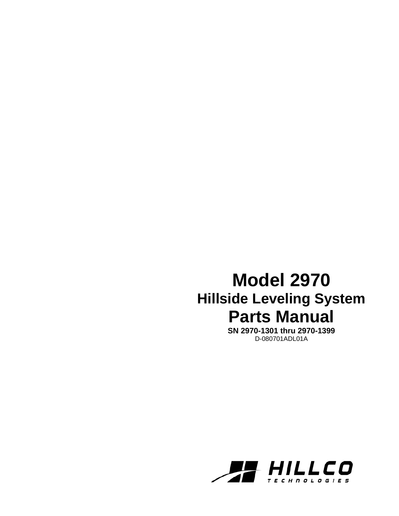# **Model 2970 Hillside Leveling System Parts Manual**

**SN 2970-1301 thru 2970-1399**  D-080701ADL01A

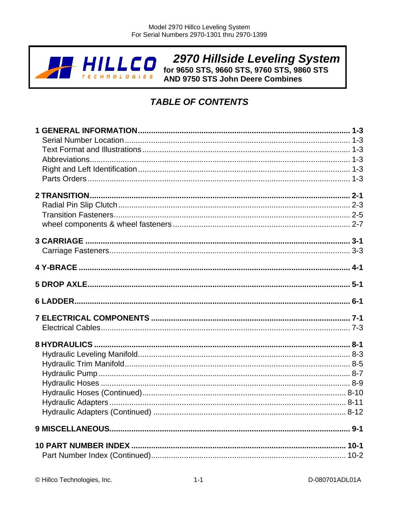

**2970 Hillside Leveling System**<br>for 9650 STS, 9660 STS, 9760 STS, 9860 STS<br>AND 9750 STS John Deere Combines

# **TABLE OF CONTENTS**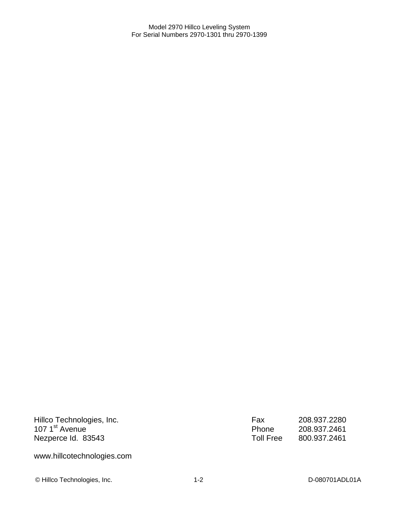Hillco Technologies, Inc. 107 1<sup>st</sup> Avenue Nezperce Id. 83543

Fax 208.937.2280 Phone 208.937.2461 Toll Free 800.937.2461

www.hillcotechnologies.com

© Hillco Technologies, Inc. 1-2 1-2 D-080701ADL01A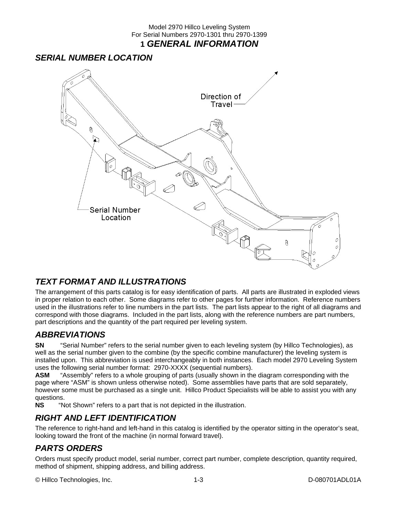#### Model 2970 Hillco Leveling System For Serial Numbers 2970-1301 thru 2970-1399 **1** *GENERAL INFORMATION*

### *SERIAL NUMBER LOCATION*



### *TEXT FORMAT AND ILLUSTRATIONS*

The arrangement of this parts catalog is for easy identification of parts. All parts are illustrated in exploded views in proper relation to each other. Some diagrams refer to other pages for further information. Reference numbers used in the illustrations refer to line numbers in the part lists. The part lists appear to the right of all diagrams and correspond with those diagrams. Included in the part lists, along with the reference numbers are part numbers, part descriptions and the quantity of the part required per leveling system.

### *ABBREVIATIONS*

**SN** "Serial Number" refers to the serial number given to each leveling system (by Hillco Technologies), as well as the serial number given to the combine (by the specific combine manufacturer) the leveling system is installed upon. This abbreviation is used interchangeably in both instances. Each model 2970 Leveling System uses the following serial number format: 2970-XXXX (sequential numbers).

**ASM** "Assembly" refers to a whole grouping of parts (usually shown in the diagram corresponding with the page where "ASM" is shown unless otherwise noted). Some assemblies have parts that are sold separately, however some must be purchased as a single unit. Hillco Product Specialists will be able to assist you with any questions.<br>NS "N

"Not Shown" refers to a part that is not depicted in the illustration.

### *RIGHT AND LEFT IDENTIFICATION*

The reference to right-hand and left-hand in this catalog is identified by the operator sitting in the operator's seat, looking toward the front of the machine (in normal forward travel).

### *PARTS ORDERS*

Orders must specify product model, serial number, correct part number, complete description, quantity required, method of shipment, shipping address, and billing address.

© Hillco Technologies, Inc. 1-3 D-080701ADL01A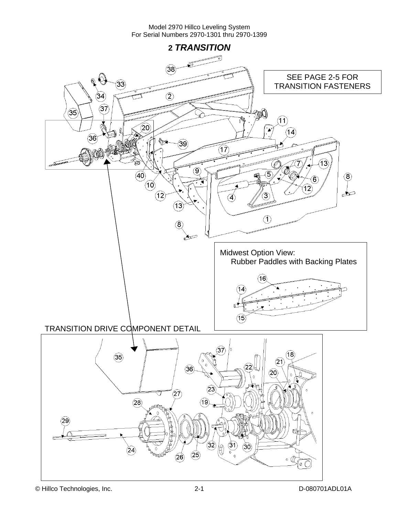**2** *TRANSITION*  (38) SEE PAGE 2-5 FOR  $\mathbb{C}^3$  $\widehat{33)}$ TRANSITION FASTENERS  $\circled{2}$ 34  $\widehat{37}$  $\circled{35}$ MA  $\widehat{\mathcal{H}}$  $(20)$  $\langle$ 14) ි6 39 17  $\widehat{13}$ ⊚  $\widehat{40}$ 5  $\circled{3}$ 6)  $\sigma$  $\hat{12}$  $\widehat{12}$ تعطيم  $\overline{3}$  $\widetilde{\boldsymbol{A}}$  $\widehat{A3}$  $\mathcal{F}$ (8) کلے Midwest Option View: Rubber Paddles with Backing Plates  $\widehat{\mathcal{A}}$ 6)  $(14)$ ۴  $(15)$ TRANSITION DRIVE COMPONENT DETAIL  $\langle 3 \overline{7} \rangle$  $(18)$  $\circled{35}$  $(21)$ 22  $\left(36\right)$  $\widehat{\mathbf{20}}$  $(23)$  $\widehat{\left(27\right)}$  $(28)$ 19  $\left( 29\right)$  $\widehat{32}$  $(31)$  $\circledS$  $\left( 24\right)$  $(25)$  $(26)$ 'n.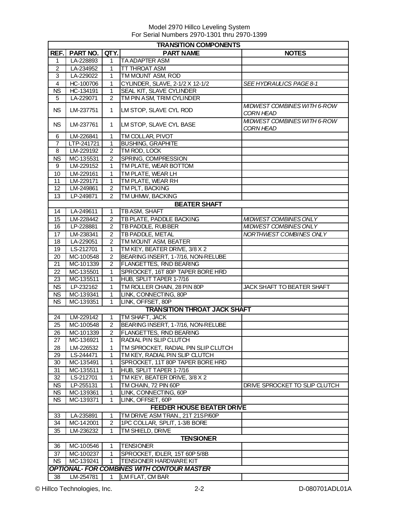| <b>TRANSITION COMPONENTS</b> |                        |                                  |                                                   |                                                 |  |
|------------------------------|------------------------|----------------------------------|---------------------------------------------------|-------------------------------------------------|--|
| REF.                         | PART NO.               | QTY.                             | <b>PART NAME</b>                                  | <b>NOTES</b>                                    |  |
| 1                            | LA-228893              | 1.                               | <b>TA ADAPTER ASM</b>                             |                                                 |  |
| $\overline{c}$               | LA-234952              | 1                                | <b>TT THROAT ASM</b>                              |                                                 |  |
| 3                            | LA-229022              | 1                                | TM MOUNT ASM, ROD                                 |                                                 |  |
| $\overline{4}$               | HC-100706              | 1                                | CYLINDER, SLAVE, 2-1/2 X 12-1/2                   | SEE HYDRAULICS PAGE 8-1                         |  |
| <b>NS</b>                    | HC-134191              | 1                                | SEAL KIT, SLAVE CYLINDER                          |                                                 |  |
| 5                            | LA-229071              | $\overline{2}$                   | TM PIN ASM, TRIM CYLINDER                         |                                                 |  |
| <b>NS</b>                    | LM-237751              | $\mathbf{1}$                     | LM STOP, SLAVE CYL ROD                            | MIDWEST COMBINES WITH 6-ROW<br><b>CORN HEAD</b> |  |
| <b>NS</b>                    | LM-237761              | $\mathbf{1}$                     | LM STOP, SLAVE CYL BASE                           | MIDWEST COMBINES WITH 6-ROW<br><b>CORN HEAD</b> |  |
| 6                            | LM-226841              | $\mathbf{1}$                     | TM COLLAR, PIVOT                                  |                                                 |  |
| $\overline{7}$               | LTP-241721             | $\mathbf{1}$                     | <b>BUSHING, GRAPHITE</b>                          |                                                 |  |
| 8                            | LM-229192              | $\overline{2}$                   | TM ROD, LOCK                                      |                                                 |  |
| <b>NS</b>                    | MC-135531              | $\overline{2}$                   | SPRING, COMPRESSION                               |                                                 |  |
| 9                            | LM-229152              | 1.                               | TM PLATE, WEAR BOTTOM                             |                                                 |  |
| 10                           | LM-229161              | 1                                | TM PLATE, WEAR LH                                 |                                                 |  |
| 11                           | LM-229171              | 1                                | TM PLATE, WEAR RH                                 |                                                 |  |
| 12                           | LM-249861              | $\overline{2}$                   | TM PLT, BACKING                                   |                                                 |  |
| 13                           | LP-249871              | 2                                | TM UHMW, BACKING                                  |                                                 |  |
|                              |                        |                                  | <b>BEATER SHAFT</b>                               |                                                 |  |
| 14                           | LA-249611              | $\mathbf{1}$                     | TB ASM, SHAFT                                     |                                                 |  |
| 15                           | LM-228442              | $\overline{2}$                   | TB PLATE, PADDLE BACKING                          | <b>MIDWEST COMBINES ONLY</b>                    |  |
| 16                           | LP-228881              | $\overline{2}$                   | TB PADDLE, RUBBER                                 | <b>MIDWEST COMBINES ONLY</b>                    |  |
| 17<br>$\overline{18}$        | LM-238341              | $\overline{2}$<br>$\overline{2}$ | TB PADDLE, METAL<br>TM MOUNT ASM, BEATER          | NORTHWEST COMBINES ONLY                         |  |
| 19                           | LA-229051<br>LS-212701 | $\mathbf{1}$                     | TM KEY, BEATER DRIVE, 3/8 X 2                     |                                                 |  |
| 20                           | MC-100548              | $\overline{2}$                   | BEARING INSERT, 1-7/16, NON-RELUBE                |                                                 |  |
| 21                           | MC-101339              | 2                                | <b>FLANGETTES, RND BEARING</b>                    |                                                 |  |
| 22                           | MC-135501              | 1                                | SPROCKET, 16T 80P TAPER BORE HRD                  |                                                 |  |
| 23                           | MC-135511              | 1                                | HUB, SPLIT TAPER 1-7/16                           |                                                 |  |
| <b>NS</b>                    | LP-232162              | 1                                | TM ROLLER CHAIN, 28 PIN 80P                       | JACK SHAFT TO BEATER SHAFT                      |  |
| <b>NS</b>                    | MC-139341              | 1                                | LINK, CONNECTING, 80P                             |                                                 |  |
| <b>NS</b>                    | MC-139351              | 1                                | LINK, OFFSET, 80P                                 |                                                 |  |
|                              |                        |                                  | <b>TRANSITION THROAT JACK SHAFT</b>               |                                                 |  |
| 24                           | LM-229142              | 1                                | TM SHAFT, JACK                                    |                                                 |  |
| 25                           | MC-100548              | $\overline{2}$                   | BEARING INSERT, 1-7/16, NON-RELUBE                |                                                 |  |
| $\overline{26}$              | MC-101339              | $\overline{2}$                   | <b>FLANGETTES, RND BEARING</b>                    |                                                 |  |
| 27                           | MC-136921              | 1                                | RADIAL PIN SLIP CLUTCH                            |                                                 |  |
| 28                           | LM-226532              | 1                                | TM SPROCKET, RADIAL PIN SLIP CLUTCH               |                                                 |  |
| 29                           | LS-244471              | 1                                | TM KEY, RADIAL PIN SLIP CLUTCH                    |                                                 |  |
| 30                           | MC-135491              | 1                                | SPROCKET, 11T 80P TAPER BORE HRD                  |                                                 |  |
| 31                           | MC-135511              | 1                                | HUB, SPLIT TAPER 1-7/16                           |                                                 |  |
| 32                           | LS-212701              | 1                                | TM KEY, BEATER DRIVE, 3/8 X 2                     |                                                 |  |
| <b>NS</b>                    | LP-255131              | 1                                | TM CHAIN, 72 PIN 60P                              | DRIVE SPROCKET TO SLIP CLUTCH                   |  |
| NS.                          | MC-139361              | 1.                               | LINK, CONNECTING, 60P                             |                                                 |  |
| <b>NS</b>                    | MC-139371              | 1.                               | LINK, OFFSET, 60P                                 |                                                 |  |
|                              |                        |                                  | <b>FEEDER HOUSE BEATER DRIVE</b>                  |                                                 |  |
| 33                           | LA-235891              | 1                                | TM DRIVE ASM TRAN., 21T 21SP/60P                  |                                                 |  |
| 34                           | MC-142001              | $\overline{2}$                   | 1PC COLLAR, SPLIT, 1-3/8 BORE                     |                                                 |  |
| 35                           | LM-236232              | 1.                               | TM SHIELD, DRIVE                                  |                                                 |  |
|                              |                        |                                  | <b>TENSIONER</b>                                  |                                                 |  |
| 36                           | MC-100546              | 1                                | <b>TENSIONER</b>                                  |                                                 |  |
| 37                           | MC-100237              | $\mathbf{1}$                     | SPROCKET, IDLER, 15T 60P 5/8B                     |                                                 |  |
| <b>NS</b>                    | MC-139241              | 1                                | <b>TENSIONER HARDWARE KIT</b>                     |                                                 |  |
|                              |                        |                                  | <b>OPTIONAL- FOR COMBINES WITH CONTOUR MASTER</b> |                                                 |  |
| 38                           | LM-254781              | 1                                | LM FLAT, CM BAR                                   |                                                 |  |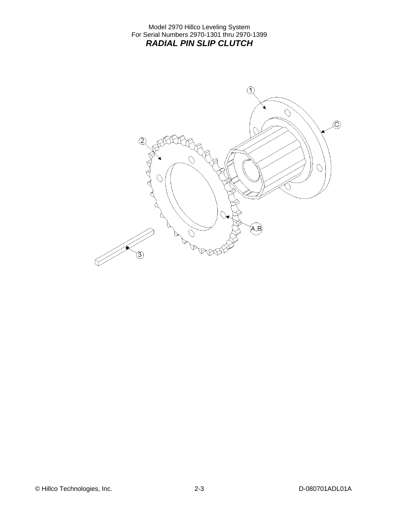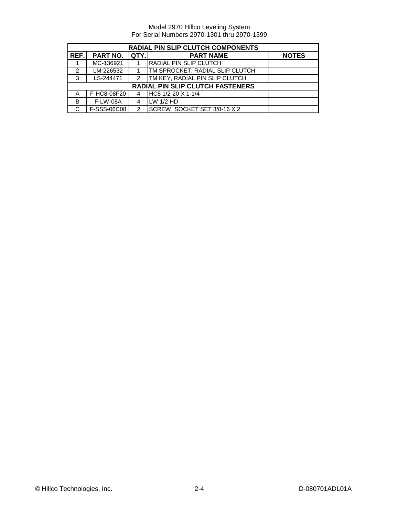| RADIAL PIN SLIP CLUTCH COMPONENTS |                 |               |                                        |              |
|-----------------------------------|-----------------|---------------|----------------------------------------|--------------|
| REF.                              | <b>PART NO.</b> | QTY.          | <b>PART NAME</b>                       | <b>NOTES</b> |
|                                   | MC-136921       |               | <b>IRADIAL PIN SLIP CLUTCH</b>         |              |
| 2                                 | LM-226532       |               | <b>TM SPROCKET, RADIAL SLIP CLUTCH</b> |              |
| 3                                 | LS-244471       | $\mathcal{P}$ | <b>TM KEY, RADIAL PIN SLIP CLUTCH</b>  |              |
|                                   |                 |               | RADIAL PIN SLIP CLUTCH FASTENERS       |              |
| Α                                 | F-HC8-08F20     |               | HC8 1/2-20 X 1-1/4                     |              |
| B                                 | <b>F-LW-08A</b> | 4             | $LW$ 1/2 HD                            |              |
| С                                 | F-SSS-06C08     | 2             | SCREW, SOCKET SET 3/8-16 X 2           |              |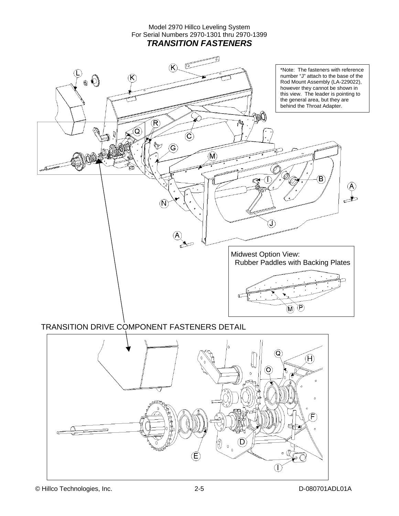#### Model 2970 Hillco Leveling System For Serial Numbers 2970-1301 thru 2970-1399 *TRANSITION FASTENERS*



### TRANSITION DRIVE COMPONENT FASTENERS DETAIL

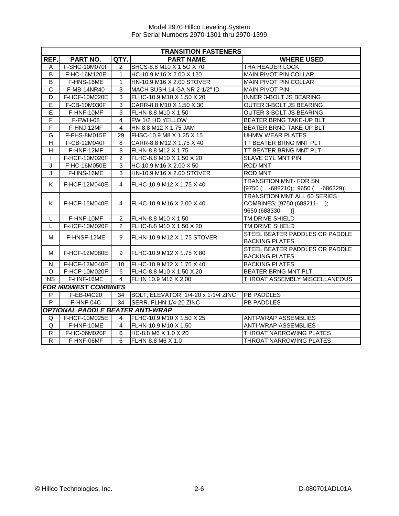|                         | <b>TRANSITION FASTENERS</b>             |                |                                     |                                     |  |  |
|-------------------------|-----------------------------------------|----------------|-------------------------------------|-------------------------------------|--|--|
| REF.                    | PART NO.                                | QTY.           | <b>PART NAME</b>                    | <b>WHERE USED</b>                   |  |  |
| A                       | F-SHC-10M070F                           | $\overline{2}$ | SHCS-8.8 M10 X 1.5O X 70            | THA HEADER LOCK                     |  |  |
| B                       | F-HC-16M120E                            | $\mathbf{1}$   | HC-10.9 M16 X 2.00 X 120            | MAIN PIVOT PIN COLLAR               |  |  |
| B                       | F-HNS-16ME                              | $\mathbf{1}$   | HN-10.9 M16 X 2.00 STOVER           | <b>MAIN PIVOT PIN COLLAR</b>        |  |  |
| $\mathsf{C}$            | F-MB-14NR40                             | 3              | MACH BUSH 14 GA NR 2-1/2" ID        | <b>MAIN PIVOT PIN</b>               |  |  |
| D                       | F-HCF-10M020E                           | 3              | FLHC-10.9 M10 X 1.50 X 20           | INNER 3-BOLT JS BEARING             |  |  |
| E                       | F-CB-10M030F                            | $\overline{3}$ | CARR-8.8 M10 X 1.50 X 30            | <b>OUTER 3-BOLT JS BEARING</b>      |  |  |
| Ē                       | F-HNF-10MF                              | $\overline{3}$ | FLHN-8.8 M10 X 1.50                 | OUTER 3-BOLT JS BEARING             |  |  |
| F                       | F-FWH-08                                | $\overline{4}$ | FW 1/2 HD YELLOW                    | BEATER BRNG TAKE-UP BLT             |  |  |
| $\overline{F}$          | F-HNJ-12MF                              | $\overline{4}$ | HN-8.8 M12 X 1.75 JAM               | BEATER BRNG TAKE-UP BLT             |  |  |
| G                       | F-FHS-8M015E                            | 29             | FHSC-10.9 M8 X 1.25 X 15            | <b>UHMW WEAR PLATES</b>             |  |  |
| $\overline{H}$          | F-CB-12M040F                            | 8              | CARR-8.8 M12 X 1.75 X 40            | TT BEATER BRNG MNT PLT              |  |  |
| $\overline{\mathsf{H}}$ | F-HNF-12MF                              | 8              | FLHN-8.8 M12 X 1.75                 | TT BEATER BRNG MNT PLT              |  |  |
| T                       | F-HCF-10M020F                           | $\overline{2}$ | FLHC-8.8 M10 X 1.50 X 20            | <b>SLAVE CYL MNT PIN</b>            |  |  |
| J                       | F-HC-16M050E                            | 3              | HC-10.9 M16 X 2.00 X 50             | <b>ROD MNT</b>                      |  |  |
| J                       | F-HNS-16ME                              | 3              | HN-10.9 M16 X 2.00 STOVER           | <b>ROD MNT</b>                      |  |  |
| K.                      | F-HCF-12M040E                           | 4              | FLHC-10.9 M12 X 1.75 X 40           | <b>TRANSITION MNT- FOR SN</b>       |  |  |
|                         |                                         |                |                                     | $[9750 (-688210); 9650 (-686329)]$  |  |  |
|                         |                                         |                |                                     | <b>TRANSITION MNT ALL 60 SERIES</b> |  |  |
| K.                      | F-HCF-16M040E                           | 4              | <b>IFLHC-10.9 M16 X 2.00 X 40</b>   | COMBINES; [9750 (688211-);          |  |  |
|                         |                                         |                |                                     | 9650 (688330-)]                     |  |  |
| L                       | F-HNF-10MF                              | $\overline{2}$ | FLHN-8.8 M10 X 1.50                 | TM DRIVE SHIELD                     |  |  |
| L                       | F-HCF-10M020F                           | $\mathcal{P}$  | FLHC-8.8 M10 X 1.50 X 20            | TM DRIVE SHIELD                     |  |  |
| м                       | F-HNSF-12ME                             | 9              | FLHN-10.9 M12 X 1.75 STOVER         | STEEL BEATER PADDLES OR PADDLE      |  |  |
|                         |                                         |                |                                     | <b>BACKING PLATES</b>               |  |  |
| м                       | F-HCF-12M080E                           | 9              | IFLHC-10.9 M12 X 1.75 X 80          | STEEL BEATER PADDLES OR PADDLE      |  |  |
|                         |                                         |                |                                     | <b>BACKING PLATES</b>               |  |  |
| N                       | F-HCF-12M040E                           | 10             | FLHC-10.9 M12 X 1.75 X 40           | <b>BACKING PLATES</b>               |  |  |
| O                       | F-HCF-10M020F                           | 6              | FLHC-8.8 M10 X 1.50 X 20            | BEATER BRNG MNT PLT                 |  |  |
| <b>NS</b>               | F-HNF-16ME                              | 4              | FLHN 10.9 M16 X 2.00                | THROAT ASSEMBLY MISCELLANEOUS       |  |  |
|                         | <b>FOR MIDWEST COMBINES</b>             |                |                                     |                                     |  |  |
| P                       | F-EB-04C20                              | 34             | BOLT, ELEVATOR, 1/4-20 x 1-1/4 ZINC | <b>PB PADDLES</b>                   |  |  |
| P                       | F-HNF-04C                               | 34             | SERR. FLHN 1/4-20 ZINC              | <b>PB PADDLES</b>                   |  |  |
|                         | <b>OPTIONAL PADDLE BEATER ANTI-WRAP</b> |                |                                     |                                     |  |  |
| Q                       | F-HCF-10M025E                           | $\overline{4}$ | FLHC-10.9 M10 X 1.50 X 25           | <b>ANTI-WRAP ASSEMBLIES</b>         |  |  |
| Q                       | F-HNF-10ME                              | $\overline{4}$ | FLHN-10.9 M10 X 1.50                | <b>ANTI-WRAP ASSEMBLIES</b>         |  |  |
| $\mathsf{R}$            | F-HC-06M020F                            | 6              | HC-8.8 M6 X 1.0 X 20                | THROAT NARROWING PLATES             |  |  |
| $\overline{R}$          | F-HNF-06MF                              | 6              | <b>FLHN-8.8 M6 X 1.0</b>            | THROAT NARROWING PLATES             |  |  |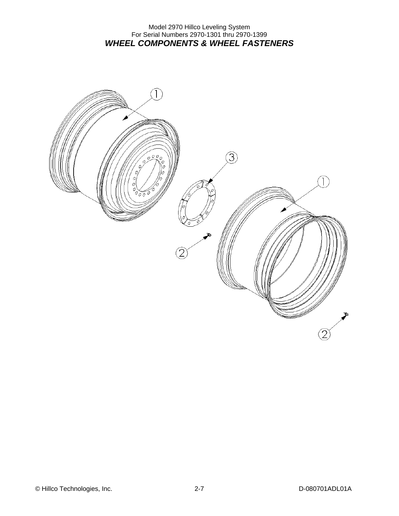#### Model 2970 Hillco Leveling System For Serial Numbers 2970-1301 thru 2970-1399 *WHEEL COMPONENTS & WHEEL FASTENERS*

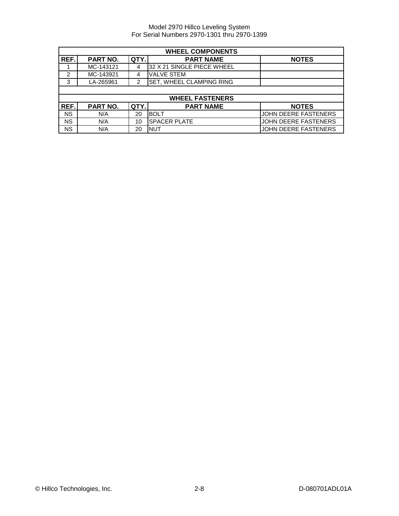|                | <b>WHEEL COMPONENTS</b> |      |                            |                             |
|----------------|-------------------------|------|----------------------------|-----------------------------|
| REF.           | <b>PART NO.</b>         | QTY. | <b>PART NAME</b>           | <b>NOTES</b>                |
|                | MC-143121               | 4    | 32 X 21 SINGLE PIECE WHEEL |                             |
| $\overline{2}$ | MC-143921               | 4    | <b>VALVE STEM</b>          |                             |
| 3              | LA-265961               | 2    | SET, WHEEL CLAMPING RING   |                             |
|                |                         |      |                            |                             |
|                |                         |      | <b>WHEEL FASTENERS</b>     |                             |
| REF.           | <b>PART NO.</b>         | QTY. | <b>PART NAME</b>           | <b>NOTES</b>                |
| <b>NS</b>      | N/A                     | 20   | <b>BOLT</b>                | <b>JOHN DEERE FASTENERS</b> |
| <b>NS</b>      | N/A                     | 10   | <b>SPACER PLATE</b>        | JOHN DEERE FASTENERS        |
| <b>NS</b>      | N/A                     | 20   | <b>NUT</b>                 | JOHN DEERE FASTENERS        |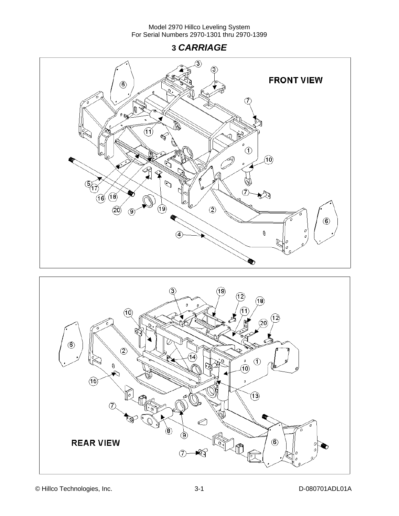**3** *CARRIAGE* 





© Hillco Technologies, Inc. 20080701ADL01A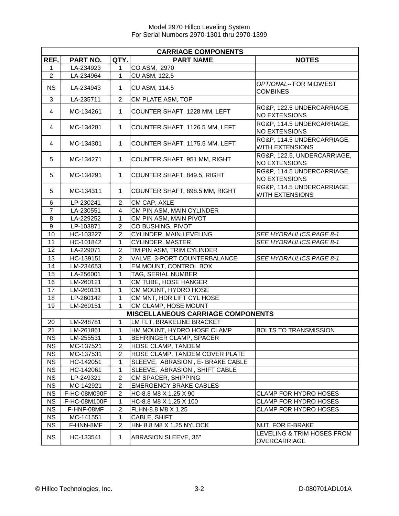| <b>CARRIAGE COMPONENTS</b> |                              |                |                                                 |                                                      |  |
|----------------------------|------------------------------|----------------|-------------------------------------------------|------------------------------------------------------|--|
| REF.                       | PART NO.                     | QTY.           | <b>PART NAME</b>                                | <b>NOTES</b>                                         |  |
| 1                          | LA-234923                    | 1              | CO ASM, 2970                                    |                                                      |  |
| $\overline{2}$             | LA-234964                    | $\mathbf{1}$   | <b>CU ASM, 122.5</b>                            |                                                      |  |
| <b>NS</b>                  | LA-234943                    | 1              | <b>CU ASM, 114.5</b>                            | OPTIONAL--FOR MIDWEST<br><b>COMBINES</b>             |  |
| 3                          | LA-235711                    | $\overline{2}$ | CM PLATE ASM, TOP                               |                                                      |  |
| 4                          | MC-134261                    | $\mathbf{1}$   | COUNTER SHAFT, 1228 MM, LEFT                    | RG&P, 122.5 UNDERCARRIAGE,<br><b>NO EXTENSIONS</b>   |  |
| 4                          | MC-134281                    | 1              | COUNTER SHAFT, 1126.5 MM, LEFT                  | RG&P, 114.5 UNDERCARRIAGE,<br><b>NO EXTENSIONS</b>   |  |
| 4                          | MC-134301                    | $\mathbf{1}$   | COUNTER SHAFT, 1175.5 MM, LEFT                  | RG&P, 114.5 UNDERCARRIAGE,<br><b>WITH EXTENSIONS</b> |  |
| 5                          | MC-134271                    | 1              | COUNTER SHAFT, 951 MM, RIGHT                    | RG&P, 122.5, UNDERCARRIAGE,<br><b>NO EXTENSIONS</b>  |  |
| 5                          | MC-134291                    | 1              | COUNTER SHAFT, 849.5, RIGHT                     | RG&P, 114.5 UNDERCARRIAGE,<br><b>NO EXTENSIONS</b>   |  |
| 5                          | MC-134311                    | 1              | COUNTER SHAFT, 898.5 MM, RIGHT                  | RG&P, 114.5 UNDERCARRIAGE,<br>WITH EXTENSIONS        |  |
| 6                          | LP-230241                    | $\overline{c}$ | CM CAP, AXLE                                    |                                                      |  |
| $\overline{7}$             | LA-230551                    | 4              | CM PIN ASM, MAIN CYLINDER                       |                                                      |  |
| 8                          | LA-229252                    | 1              | CM PIN ASM, MAIN PIVOT                          |                                                      |  |
| $\boldsymbol{9}$           | LP-103871                    | $\overline{c}$ | CO BUSHING, PIVOT                               |                                                      |  |
| 10                         | HC-103227                    | $\overline{c}$ | CYLINDER, MAIN LEVELING                         | SEE HYDRAULICS PAGE 8-1                              |  |
| 11                         | HC-101842                    | 1              | <b>CYLINDER, MASTER</b>                         | SEE HYDRAULICS PAGE 8-1                              |  |
| $\overline{12}$            | LA-229071                    | 2              | TM PIN ASM, TRIM CYLINDER                       |                                                      |  |
| 13                         | HC-139151                    | $\overline{2}$ | VALVE, 3-PORT COUNTERBALANCE                    | SEE HYDRAULICS PAGE 8-1                              |  |
| 14                         | LM-234653                    | 1              | EM MOUNT, CONTROL BOX                           |                                                      |  |
| 15                         | LA-256001                    | 1              | TAG, SERIAL NUMBER                              |                                                      |  |
| 16                         | LM-260121                    | 1              | CM TUBE, HOSE HANGER                            |                                                      |  |
| 17                         | LM-260131                    | 1              | CM MOUNT, HYDRO HOSE                            |                                                      |  |
| 18                         | LP-260142                    | 1              | CM MNT, HDR LIFT CYL HOSE                       |                                                      |  |
| 19                         | LM-260151                    | 1              | CM CLAMP, HOSE MOUNT                            |                                                      |  |
|                            |                              |                | <b>MISCELLANEOUS CARRIAGE COMPONENTS</b>        |                                                      |  |
| 20                         | LM-248781                    | $\mathbf{1}$   | LM FLT, BRAKELINE BRACKET                       |                                                      |  |
| 21                         | LM-261861                    | 1              | HM MOUNT, HYDRO HOSE CLAMP                      | <b>BOLTS TO TRANSMISSION</b>                         |  |
| N <sub>S</sub>             | LM-255531                    | 1              | BEHRINGER CLAMP, SPACER                         |                                                      |  |
| <b>NS</b>                  | MC-137521                    | $\overline{2}$ | <b>HOSE CLAMP, TANDEM</b>                       |                                                      |  |
| $\overline{\text{NS}}$     | MC-137531                    | 2              | HOSE CLAMP, TANDEM COVER PLATE                  |                                                      |  |
| <b>NS</b>                  | HC-142051                    | $\mathbf{1}$   | SLEEVE, ABRASION, E- BRAKE CABLE                |                                                      |  |
| <b>NS</b>                  | HC-142061                    | 1              | SLEEVE, ABRASION, SHIFT CABLE                   |                                                      |  |
| <b>NS</b>                  | LP-249321                    | $\overline{c}$ | CM SPACER, SHIPPING                             |                                                      |  |
| <b>NS</b>                  | MC-142921                    | $\overline{2}$ | <b>EMERGENCY BRAKE CABLES</b>                   |                                                      |  |
| <b>NS</b><br><b>NS</b>     | F-HC-08M090F<br>F-HC-08M100F | 2<br>1         | HC-8.8 M8 X 1.25 X 90<br>HC-8.8 M8 X 1.25 X 100 | CLAMP FOR HYDRO HOSES<br>CLAMP FOR HYDRO HOSES       |  |
| <b>NS</b>                  | F-HNF-08MF                   | $\overline{2}$ | FLHN-8.8 M8 X 1.25                              | <b>CLAMP FOR HYDRO HOSES</b>                         |  |
| <b>NS</b>                  | MC-141551                    | 1              | CABLE, SHIFT                                    |                                                      |  |
| <b>NS</b>                  | F-HNN-8MF                    | 2              | HN- 8.8 M8 X 1.25 NYLOCK                        | NUT, FOR E-BRAKE                                     |  |
|                            |                              |                |                                                 | LEVELING & TRIM HOSES FROM                           |  |
| <b>NS</b>                  | HC-133541                    | 1              | ABRASION SLEEVE, 36"                            | OVERCARRIAGE                                         |  |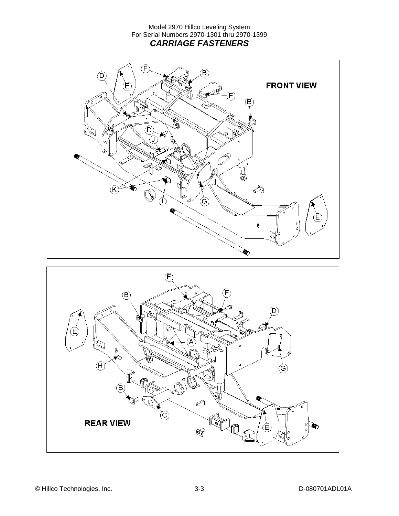#### Model 2970 Hillco Leveling System For Serial Numbers 2970-1301 thru 2970-1399 *CARRIAGE FASTENERS*



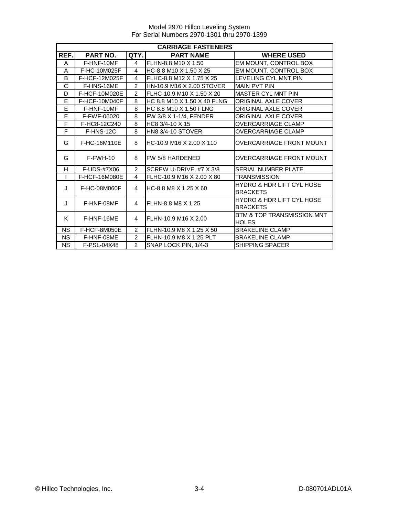|              | <b>CARRIAGE FASTENERS</b> |                |                             |                                                         |  |
|--------------|---------------------------|----------------|-----------------------------|---------------------------------------------------------|--|
| REF.         | PART NO.                  | QTY.           | <b>PART NAME</b>            | <b>WHERE USED</b>                                       |  |
| A            | F-HNF-10MF                | $\overline{4}$ | FLHN-8.8 M10 X 1.50         | EM MOUNT, CONTROL BOX                                   |  |
| A            | F-HC-10M025F              | 4              | HC-8.8 M10 X 1.50 X 25      | EM MOUNT, CONTROL BOX                                   |  |
| B            | F-HCF-12M025F             | 4              | FLHC-8.8 M12 X 1.75 X 25    | LEVELING CYL MNT PIN                                    |  |
| $\mathsf{C}$ | F-HNS-16ME                | $\overline{2}$ | HN-10.9 M16 X 2.00 STOVER   | <b>MAIN PVT PIN</b>                                     |  |
| D            | F-HCF-10M020E             | $\mathfrak{p}$ | FLHC-10.9 M10 X 1.50 X 20   | <b>MASTER CYL MNT PIN</b>                               |  |
| E            | F-HCF-10M040F             | 8              | HC 8.8 M10 X 1.50 X 40 FLNG | <b>ORIGINAL AXLE COVER</b>                              |  |
| E            | F-HNF-10MF                | 8              | HC 8.8 M10 X 1.50 FLNG      | <b>ORIGINAL AXLE COVER</b>                              |  |
| E            | F-FWF-06020               | 8              | FW 3/8 X 1-1/4, FENDER      | <b>ORIGINAL AXLE COVER</b>                              |  |
| F            | F-HC8-12C240              | 8              | HC8 3/4-10 X 15             | <b>OVERCARRIAGE CLAMP</b>                               |  |
| F            | F-HNS-12C                 | 8              | HN8 3/4-10 STOVER           | <b>OVERCARRIAGE CLAMP</b>                               |  |
| G            | F-HC-16M110E              | 8              | HC-10.9 M16 X 2.00 X 110    | <b>OVERCARRIAGE FRONT MOUNT</b>                         |  |
| G            | $F-FWH-10$                | 8              | FW 5/8 HARDENED             | <b>OVERCARRIAGE FRONT MOUNT</b>                         |  |
| H            | F-UDS-#7X06               | $\overline{2}$ | SCREW U-DRIVE, #7 X 3/8     | <b>SERIAL NUMBER PLATE</b>                              |  |
|              | F-HCF-16M080E             | 4              | FLHC-10.9 M16 X 2.00 X 80   | <b>TRANSMISSION</b>                                     |  |
| J            | F-HC-08M060F              | 4              | HC-8.8 M8 X 1.25 X 60       | <b>HYDRO &amp; HDR LIFT CYL HOSE</b><br><b>BRACKETS</b> |  |
| J            | F-HNF-08MF                | 4              | FLHN-8.8 M8 X 1.25          | <b>HYDRO &amp; HDR LIFT CYL HOSE</b><br><b>BRACKETS</b> |  |
| K            | F-HNF-16ME                | 4              | FLHN-10.9 M16 X 2.00        | <b>BTM &amp; TOP TRANSMISSION MNT</b><br><b>HOLES</b>   |  |
| <b>NS</b>    | F-HCF-8M050E              | $\mathcal{P}$  | FLHN-10.9 M8 X 1.25 X 50    | <b>BRAKELINE CLAMP</b>                                  |  |
| <b>NS</b>    | F-HNF-08ME                | 2              | FLHN-10.9 M8 X 1.25 PLT     | <b>BRAKELINE CLAMP</b>                                  |  |
| <b>NS</b>    | F-PSL-04X48               | $\overline{2}$ | SNAP LOCK PIN, 1/4-3        | <b>SHIPPING SPACER</b>                                  |  |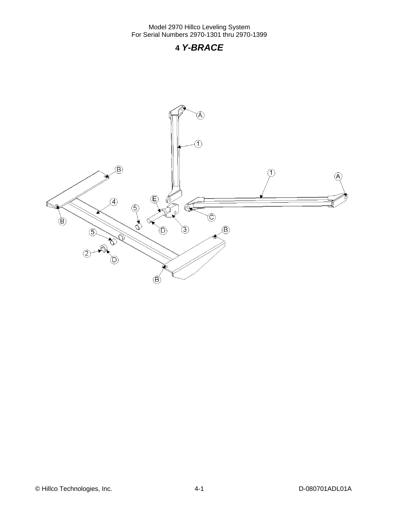### **4** *Y-BRACE*

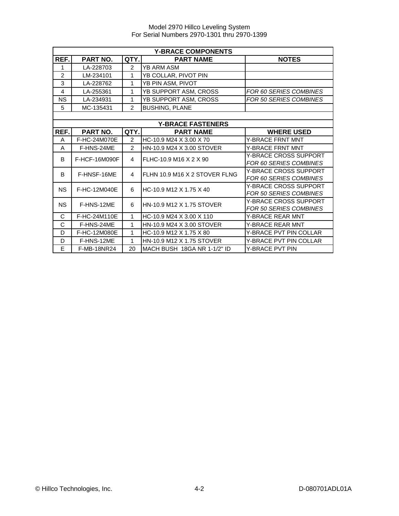|                | <b>Y-BRACE COMPONENTS</b> |                |                               |                               |  |
|----------------|---------------------------|----------------|-------------------------------|-------------------------------|--|
| REF.           | PART NO.                  | QTY.           | <b>PART NAME</b>              | <b>NOTES</b>                  |  |
| 1              | LA-228703                 | 2              | <b>YB ARM ASM</b>             |                               |  |
| $\overline{2}$ | LM-234101                 | 1              | YB COLLAR, PIVOT PIN          |                               |  |
| 3              | LA-228762                 | 1              | YB PIN ASM, PIVOT             |                               |  |
| 4              | LA-255361                 | 1              | YB SUPPORT ASM, CROSS         | FOR 60 SERIES COMBINES        |  |
| NS             | LA-234931                 | 1              | YB SUPPORT ASM, CROSS         | FOR 50 SERIES COMBINES        |  |
| 5              | MC-135431                 | $\overline{2}$ | <b>BUSHING, PLANE</b>         |                               |  |
|                |                           |                |                               |                               |  |
|                |                           |                | <b>Y-BRACE FASTENERS</b>      |                               |  |
| REF.           | PART NO.                  | QTY.           | <b>PART NAME</b>              | <b>WHERE USED</b>             |  |
| A              | F-HC-24M070E              | $\overline{2}$ | HC-10.9 M24 X 3.00 X 70       | <b>Y-BRACE FRNT MNT</b>       |  |
| A              | F-HNS-24ME                | $\mathfrak{p}$ | HN-10.9 M24 X 3.00 STOVER     | <b>Y-BRACE FRNT MNT</b>       |  |
| B              | F-HCF-16M090F             | 4              | FLHC-10.9 M16 X 2 X 90        | Y-BRACE CROSS SUPPORT         |  |
|                |                           |                |                               | FOR 60 SERIES COMBINES        |  |
| B              | F-HNSF-16ME               | 4              | FLHN 10.9 M16 X 2 STOVER FLNG | <b>Y-BRACE CROSS SUPPORT</b>  |  |
|                |                           |                |                               | FOR 60 SERIES COMBINES        |  |
| <b>NS</b>      | F-HC-12M040E              | 6              | HC-10.9 M12 X 1.75 X 40       | Y-BRACE CROSS SUPPORT         |  |
|                |                           |                |                               | FOR 50 SERIES COMBINES        |  |
| <b>NS</b>      | F-HNS-12ME                | 6              | HN-10.9 M12 X 1.75 STOVER     | <b>Y-BRACE CROSS SUPPORT</b>  |  |
|                |                           |                |                               | <b>FOR 50 SERIES COMBINES</b> |  |
| C              | F-HC-24M110E              | 1              | HC-10.9 M24 X 3.00 X 110      | <b>Y-BRACE REAR MNT</b>       |  |
| C              | F-HNS-24ME                | 1              | HN-10.9 M24 X 3.00 STOVER     | Y-BRACE REAR MNT              |  |
| D              | F-HC-12M080E              | 1              | HC-10.9 M12 X 1.75 X 80       | <b>Y-BRACE PVT PIN COLLAR</b> |  |
| D              | F-HNS-12ME                | 1              | HN-10.9 M12 X 1.75 STOVER     | Y-BRACE PVT PIN COLLAR        |  |
| E              | <b>F-MB-18NR24</b>        | 20             | MACH BUSH 18GA NR 1-1/2" ID   | Y-BRACE PVT PIN               |  |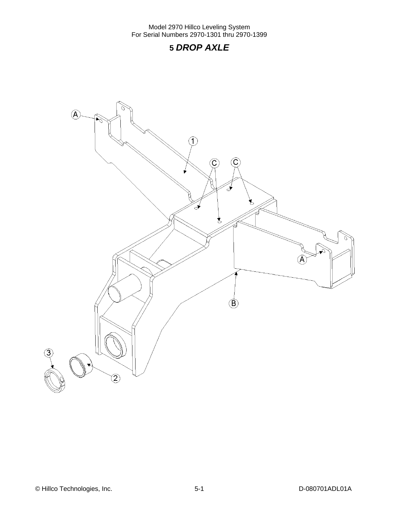# **5** *DROP AXLE*

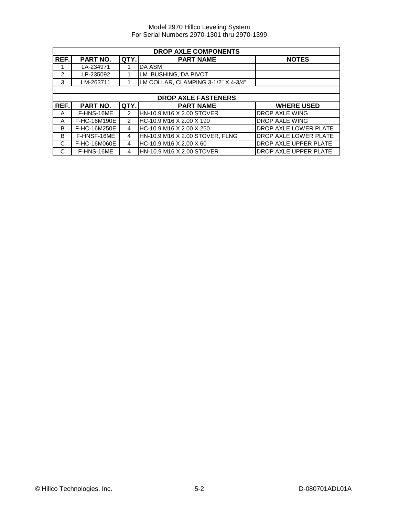| <b>DROP AXLE COMPONENTS</b> |              |               |                                     |                       |  |
|-----------------------------|--------------|---------------|-------------------------------------|-----------------------|--|
| REF.                        | PART NO.     | QTY.          | <b>PART NAME</b>                    | <b>NOTES</b>          |  |
|                             | LA-234971    |               | DA ASM                              |                       |  |
| $\mathcal{P}$               | LP-235092    |               | LM BUSHING, DA PIVOT                |                       |  |
| 3                           | LM-263711    |               | LM COLLAR, CLAMPING 3-1/2" X 4-3/4" |                       |  |
|                             |              |               |                                     |                       |  |
|                             |              |               | <b>DROP AXLE FASTENERS</b>          |                       |  |
| REF.                        | PART NO.     | QTY.          | <b>PART NAME</b>                    | <b>WHERE USED</b>     |  |
| A                           | F-HNS-16ME   | $\mathcal{P}$ | HN-10.9 M16 X 2.00 STOVER           | <b>DROP AXLE WING</b> |  |
| A                           | F-HC-16M190E | $\mathcal{P}$ | HC-10.9 M16 X 2.00 X 190            | <b>DROP AXLE WING</b> |  |
| B                           | F-HC-16M250E | 4             | HC-10.9 M16 X 2.00 X 250            | DROP AXLE LOWER PLATE |  |
| B                           | F-HNSF-16ME  | 4             | HN-10.9 M16 X 2.00 STOVER, FLNG     | DROP AXLE LOWER PLATE |  |
| C                           | F-HC-16M060E | 4             | HC-10.9 M16 X 2.00 X 60             | DROP AXLE UPPER PLATE |  |
| C                           | F-HNS-16ME   | 4             | HN-10.9 M16 X 2.00 STOVER           | DROP AXLE UPPER PLATE |  |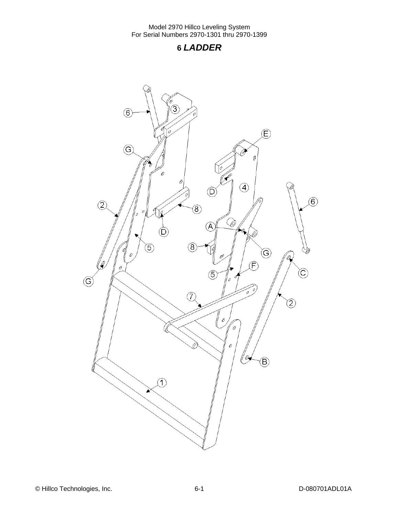### **6** *LADDER*

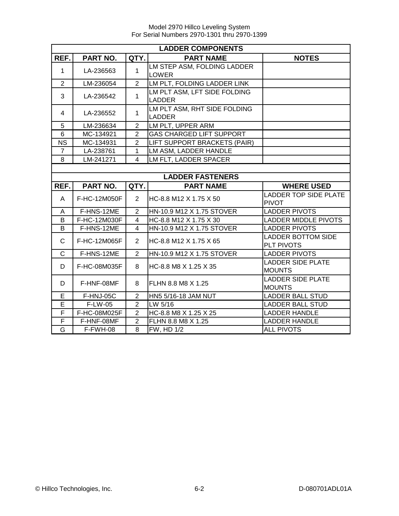Model 2970 Hillco Leveling System For Serial Numbers 2970-1301 thru 2970-1399

|                | <b>LADDER COMPONENTS</b> |                |                                               |                                              |  |  |
|----------------|--------------------------|----------------|-----------------------------------------------|----------------------------------------------|--|--|
| REF.           | PART NO.                 | QTY.           | <b>PART NAME</b>                              | <b>NOTES</b>                                 |  |  |
| $\mathbf{1}$   | LA-236563                | 1              | LM STEP ASM, FOLDING LADDER<br>LOWER          |                                              |  |  |
| $\overline{2}$ | LM-236054                | $\overline{2}$ | LM PLT, FOLDING LADDER LINK                   |                                              |  |  |
| 3              | LA-236542                | $\mathbf{1}$   | LM PLT ASM, LFT SIDE FOLDING<br><b>LADDER</b> |                                              |  |  |
| 4              | LA-236552                | $\mathbf{1}$   | LM PLT ASM, RHT SIDE FOLDING<br><b>LADDER</b> |                                              |  |  |
| 5              | LM-236634                | $\overline{2}$ | LM PLT, UPPER ARM                             |                                              |  |  |
| $6\phantom{1}$ | MC-134921                | $\overline{2}$ | <b>GAS CHARGED LIFT SUPPORT</b>               |                                              |  |  |
| <b>NS</b>      | MC-134931                | $\overline{2}$ | LIFT SUPPORT BRACKETS (PAIR)                  |                                              |  |  |
| $\overline{7}$ | LA-238761                | 1              | LM ASM, LADDER HANDLE                         |                                              |  |  |
| 8              | LM-241271                | 4              | LM FLT, LADDER SPACER                         |                                              |  |  |
|                |                          |                |                                               |                                              |  |  |
|                |                          |                | <b>LADDER FASTENERS</b>                       |                                              |  |  |
| REF.           | <b>PART NO.</b>          | QTY.           | <b>PART NAME</b>                              | <b>WHERE USED</b>                            |  |  |
| A              | F-HC-12M050F             | $\overline{2}$ | HC-8.8 M12 X 1.75 X 50                        | <b>LADDER TOP SIDE PLATE</b><br><b>PIVOT</b> |  |  |
| A              | F-HNS-12ME               | $\overline{2}$ | HN-10.9 M12 X 1.75 STOVER                     | <b>LADDER PIVOTS</b>                         |  |  |
| B              | F-HC-12M030F             | $\overline{4}$ | HC-8.8 M12 X 1.75 X 30                        | <b>LADDER MIDDLE PIVOTS</b>                  |  |  |
| B              | F-HNS-12ME               | $\overline{4}$ | HN-10.9 M12 X 1.75 STOVER                     | <b>LADDER PIVOTS</b>                         |  |  |
| $\mathsf{C}$   | F-HC-12M065F             | $\overline{2}$ | HC-8.8 M12 X 1.75 X 65                        | <b>LADDER BOTTOM SIDE</b><br>PLT PIVOTS      |  |  |
| $\mathsf{C}$   | F-HNS-12ME               | $\overline{2}$ | HN-10.9 M12 X 1.75 STOVER                     | <b>LADDER PIVOTS</b>                         |  |  |
| D              | F-HC-08M035F             | 8              | HC-8.8 M8 X 1.25 X 35                         | <b>LADDER SIDE PLATE</b><br><b>MOUNTS</b>    |  |  |
| D              | F-HNF-08MF               | 8              | FLHN 8.8 M8 X 1.25                            | <b>LADDER SIDE PLATE</b><br><b>MOUNTS</b>    |  |  |
| E              | F-HNJ-05C                | $\overline{2}$ | HN5 5/16-18 JAM NUT                           | <b>LADDER BALL STUD</b>                      |  |  |
| E              | F-LW-05                  | $\overline{2}$ | LW 5/16                                       | <b>LADDER BALL STUD</b>                      |  |  |
| F              | F-HC-08M025F             | $\overline{2}$ | HC-8.8 M8 X 1.25 X 25                         | <b>LADDER HANDLE</b>                         |  |  |
| F              | F-HNF-08MF               | $\overline{2}$ | FLHN 8.8 M8 X 1.25                            | <b>LADDER HANDLE</b>                         |  |  |
| G              | F-FWH-08                 | 8              | FW, HD 1/2                                    | <b>ALL PIVOTS</b>                            |  |  |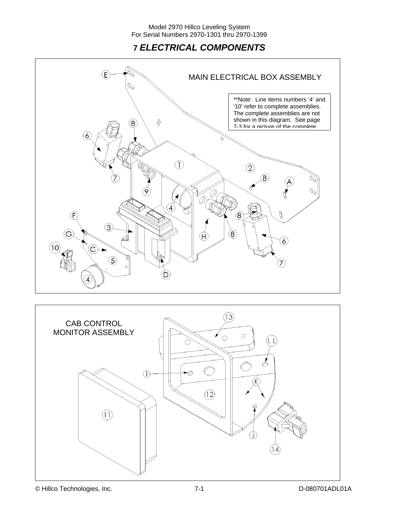# **7** *ELECTRICAL COMPONENTS*



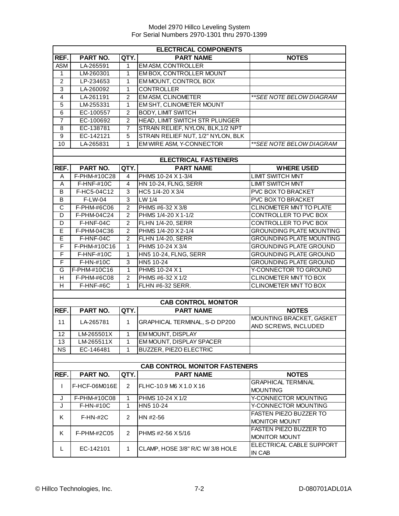| <b>ELECTRICAL COMPONENTS</b> |                   |                |                                      |                                                  |  |
|------------------------------|-------------------|----------------|--------------------------------------|--------------------------------------------------|--|
| REF.                         | PART NO.          | QTY.           | <b>PART NAME</b>                     | <b>NOTES</b>                                     |  |
| <b>ASM</b>                   | LA-265591         | 1              | <b>EMASM, CONTROLLER</b>             |                                                  |  |
| 1                            | LM-260301         | 1              | EM BOX, CONTROLLER MOUNT             |                                                  |  |
| $\overline{2}$               | LP-234653         | 1              | EM MOUNT, CONTROL BOX                |                                                  |  |
| 3                            | LA-260092         | 1              | <b>CONTROLLER</b>                    |                                                  |  |
| $\overline{4}$               | LA-261191         | $\overline{2}$ | <b>EM ASM, CLINOMETER</b>            | ** SEE NOTE BELOW DIAGRAM                        |  |
| 5                            | LM-255331         | 1              | EM SHT, CLINOMETER MOUNT             |                                                  |  |
| 6                            | EC-100557         | $\overline{2}$ | <b>BODY, LIMIT SWITCH</b>            |                                                  |  |
| 7                            | EC-100692         | $\overline{c}$ | HEAD, LIMIT SWITCH STR PLUNGER       |                                                  |  |
| 8                            | EC-138781         | 7              | STRAIN RELIEF, NYLON, BLK, 1/2 NPT   |                                                  |  |
| 9                            | EC-142121         | $\overline{5}$ | STRAIN RELIEF NUT, 1/2" NYLON, BLK   |                                                  |  |
| 10                           | LA-265831         | 1              | EM WIRE ASM, Y-CONNECTOR             | ** SEE NOTE BELOW DIAGRAM                        |  |
|                              |                   |                |                                      |                                                  |  |
|                              |                   |                | <b>ELECTRICAL FASTENERS</b>          |                                                  |  |
| REF.                         | PART NO.          | QTY.           | <b>PART NAME</b>                     | <b>WHERE USED</b>                                |  |
| Α                            | F-PHM-#10C28      | 4              | PHMS 10-24 X 1-3/4                   | <b>LIMIT SWITCH MNT</b>                          |  |
| Α                            | F-HNF-#10C        | 4              | HN 10-24, FLNG, SERR                 | <b>LIMIT SWITCH MNT</b>                          |  |
| B                            | F-HC5-04C12       | 3              | HC5 1/4-20 X 3/4                     | PVC BOX TO BRACKET                               |  |
| B                            | F-LW-04           | 3              | LW 1/4                               | PVC BOX TO BRACKET                               |  |
| C                            | F-PHM-#6C06       | $\overline{2}$ | PHMS #6-32 X 3/8                     | CLINOMETER MNT TO PLATE                          |  |
| D                            | F-PHM-04C24       | $\overline{2}$ | PHMS 1/4-20 X 1-1/2                  | CONTROLLER TO PVC BOX                            |  |
| D                            | F-HNF-04C         | $\overline{2}$ | <b>FLHN 1/4-20, SERR</b>             | CONTROLLER TO PVC BOX                            |  |
| E                            | F-PHM-04C36       | $\overline{2}$ | PHMS 1/4-20 X 2-1/4                  | <b>GROUNDING PLATE MOUNTING</b>                  |  |
| E                            | F-HNF-04C         | $\overline{2}$ | <b>FLHN 1/4-20, SERR</b>             | <b>GROUNDING PLATE MOUNTING</b>                  |  |
| F                            | F-PHM-#10C16      | 1              | PHMS 10-24 X 3/4                     | <b>GROUNDING PLATE GROUND</b>                    |  |
| F                            | <b>F-HNF-#10C</b> | 1              | <b>HN5 10-24, FLNG, SERR</b>         | <b>GROUNDING PLATE GROUND</b>                    |  |
| F                            | F-HN-#10C         | 3              | HN5 10-24                            | <b>GROUNDING PLATE GROUND</b>                    |  |
| G                            | F-PHM-#10C16      | 1              | PHMS 10-24 X1                        | Y-CONNECTOR TO GROUND                            |  |
| Н                            | F-PHM-#6C08       | $\overline{2}$ | PHMS #6-32 X 1/2                     | CLINOMETER MNT TO BOX                            |  |
| Н                            | F-HNF-#6C         | 1              | FLHN #6-32 SERR.                     | CLINOMETER MNT TO BOX                            |  |
|                              |                   |                |                                      |                                                  |  |
|                              |                   |                | <b>CAB CONTROL MONITOR</b>           |                                                  |  |
| REF.                         | PART NO.          | QTY.           | <b>PART NAME</b>                     | <b>NOTES</b>                                     |  |
| 11                           | LA-265781         | 1              | GRAPHICAL TERMINAL, S-D DP200        | MOUNTING BRACKET, GASKET<br>AND SCREWS, INCLUDED |  |
| 12 <sup>2</sup>              | LM-265501X        | 1              | <b>EM MOUNT, DISPLAY</b>             |                                                  |  |
| 13                           | LM-265511X        | 1              | EM MOUNT, DISPLAY SPACER             |                                                  |  |
| NS.                          | EC-146481         | 1              | BUZZER, PIEZO ELECTRIC               |                                                  |  |
|                              |                   |                |                                      |                                                  |  |
|                              |                   |                | <b>CAB CONTROL MONITOR FASTENERS</b> |                                                  |  |
| REF.                         | PART NO.          | QTY.           | <b>PART NAME</b>                     | <b>NOTES</b>                                     |  |
| I                            | F-HCF-06M016E     | 2              | FLHC-10.9 M6 X 1.0 X 16              | <b>GRAPHICAL TERMINAL</b><br><b>MOUNTING</b>     |  |
| J                            | F-PHM-#10C08      | 1              | PHMS 10-24 X 1/2                     | Y-CONNECTOR MOUNTING                             |  |
| J                            | F-HN-#10C         | 1              | HN5 10-24                            | Y-CONNECTOR MOUNTING                             |  |
|                              |                   |                |                                      | FASTEN PIEZO BUZZER TO                           |  |
| Κ                            | $F-HN-#2C$        | $\overline{2}$ | HN #2-56                             | MONITOR MOUNT                                    |  |
| Κ                            | F-PHM-#2C05       | $\overline{2}$ | PHMS #2-56 X 5/16                    | <b>FASTEN PIEZO BUZZER TO</b><br>MONITOR MOUNT   |  |
| L.                           | EC-142101         | 1              | CLAMP, HOSE 3/8" R/C W/ 3/8 HOLE     | ELECTRICAL CABLE SUPPORT<br>IN CAB               |  |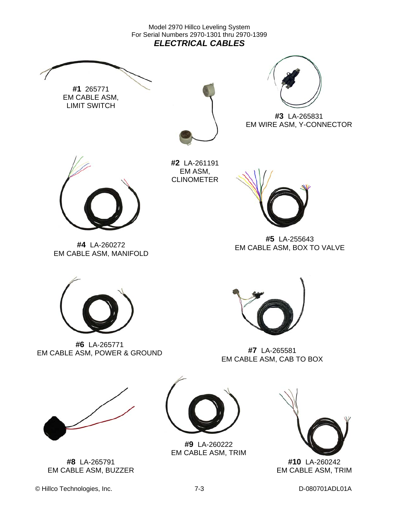Model 2970 Hillco Leveling System For Serial Numbers 2970-1301 thru 2970-1399 *ELECTRICAL CABLES* 



**#10** LA-260242 EM CABLE ASM, TRIM

EM CABLE ASM, BUZZER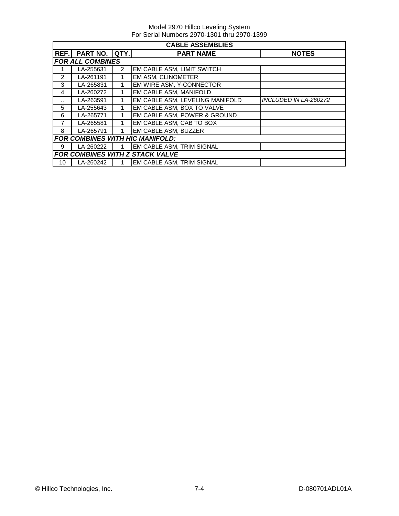|               | <b>CABLE ASSEMBLIES</b>                |               |                                 |                       |  |  |
|---------------|----------------------------------------|---------------|---------------------------------|-----------------------|--|--|
|               | REF. PART NO. QTY.                     |               | <b>PART NAME</b>                | <b>NOTES</b>          |  |  |
|               | <b>FOR ALL COMBINES</b>                |               |                                 |                       |  |  |
|               | LA-255631                              | $\mathcal{P}$ | EM CABLE ASM, LIMIT SWITCH      |                       |  |  |
| $\mathcal{P}$ | LA-261191                              |               | EM ASM, CLINOMETER              |                       |  |  |
| 3             | LA-265831                              |               | EM WIRE ASM, Y-CONNECTOR        |                       |  |  |
| 4             | LA-260272                              |               | EM CABLE ASM, MANIFOLD          |                       |  |  |
| $\cdot$ .     | LA-263591                              |               | EM CABLE ASM, LEVELING MANIFOLD | INCLUDED IN LA-260272 |  |  |
| 5             | LA-255643                              |               | EM CABLE ASM, BOX TO VALVE      |                       |  |  |
| 6             | LA-265771                              |               | EM CABLE ASM, POWER & GROUND    |                       |  |  |
| 7             | LA-265581                              |               | EM CABLE ASM, CAB TO BOX        |                       |  |  |
| 8             | LA-265791                              |               | EM CABLE ASM, BUZZER            |                       |  |  |
|               | <b>FOR COMBINES WITH HIC MANIFOLD:</b> |               |                                 |                       |  |  |
| 9             | LA-260222                              |               | EM CABLE ASM, TRIM SIGNAL       |                       |  |  |
|               |                                        |               | FOR COMBINES WITH Z STACK VALVE |                       |  |  |
| 10            | LA-260242                              |               | EM CABLE ASM, TRIM SIGNAL       |                       |  |  |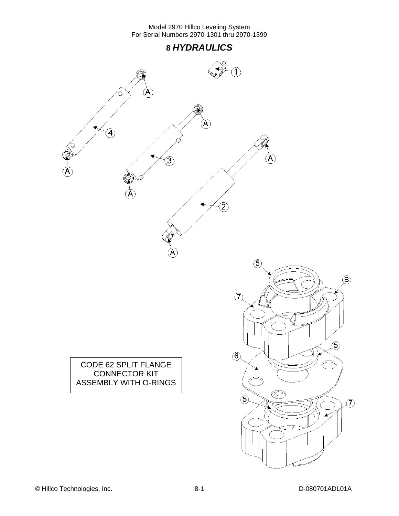



CODE 62 SPLIT FLANGE CONNECTOR KIT ASSEMBLY WITH O-RINGS

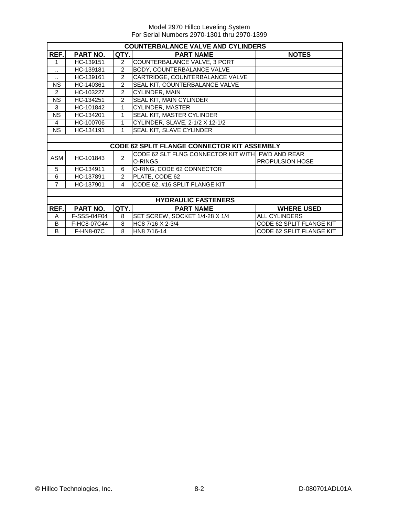| <b>COUNTERBALANCE VALVE AND CYLINDERS</b> |                            |                |                                                    |                          |  |  |  |  |  |
|-------------------------------------------|----------------------------|----------------|----------------------------------------------------|--------------------------|--|--|--|--|--|
| REF.                                      | PART NO.                   | QTY.           | <b>PART NAME</b>                                   | <b>NOTES</b>             |  |  |  |  |  |
| 1                                         | HC-139151                  | $\overline{2}$ | COUNTERBALANCE VALVE, 3 PORT                       |                          |  |  |  |  |  |
|                                           | HC-139181                  | $\overline{c}$ | BODY, COUNTERBALANCE VALVE                         |                          |  |  |  |  |  |
| ٠.                                        | HC-139161                  | $\overline{2}$ | CARTRIDGE, COUNTERBALANCE VALVE                    |                          |  |  |  |  |  |
| <b>NS</b>                                 | HC-140361                  | $\overline{2}$ | SEAL KIT, COUNTERBALANCE VALVE                     |                          |  |  |  |  |  |
| $\overline{2}$                            | HC-103227                  | $\overline{2}$ | CYLINDER, MAIN                                     |                          |  |  |  |  |  |
| <b>NS</b>                                 | HC-134251                  | $\overline{2}$ | SEAL KIT, MAIN CYLINDER                            |                          |  |  |  |  |  |
| 3                                         | HC-101842                  | 1              | CYLINDER, MASTER                                   |                          |  |  |  |  |  |
| <b>NS</b>                                 | HC-134201                  | 1              | SEAL KIT, MASTER CYLINDER                          |                          |  |  |  |  |  |
| 4                                         | HC-100706                  | 1              | CYLINDER, SLAVE, 2-1/2 X 12-1/2                    |                          |  |  |  |  |  |
| <b>NS</b>                                 | HC-134191                  | 1              | SEAL KIT, SLAVE CYLINDER                           |                          |  |  |  |  |  |
|                                           |                            |                |                                                    |                          |  |  |  |  |  |
|                                           |                            |                | <b>CODE 62 SPLIT FLANGE CONNECTOR KIT ASSEMBLY</b> |                          |  |  |  |  |  |
| <b>ASM</b>                                | HC-101843                  | $\overline{2}$ | CODE 62 SLT FLNG CONNECTOR KIT WITH FWD AND REAR   |                          |  |  |  |  |  |
|                                           |                            |                | O-RINGS                                            | <b>PROPULSION HOSE</b>   |  |  |  |  |  |
| 5                                         | HC-134911                  | 6              | O-RING, CODE 62 CONNECTOR                          |                          |  |  |  |  |  |
| 6                                         | HC-137891                  | $\overline{2}$ | PLATE, CODE 62                                     |                          |  |  |  |  |  |
| $\overline{7}$                            | HC-137901                  | 4              | CODE 62, #16 SPLIT FLANGE KIT                      |                          |  |  |  |  |  |
|                                           |                            |                |                                                    |                          |  |  |  |  |  |
|                                           | <b>HYDRAULIC FASTENERS</b> |                |                                                    |                          |  |  |  |  |  |
| REF.                                      | PART NO.                   | QTY.           | <b>PART NAME</b>                                   | <b>WHERE USED</b>        |  |  |  |  |  |
| A                                         | F-SSS-04F04                | 8              | SET SCREW, SOCKET 1/4-28 X 1/4                     | <b>ALL CYLINDERS</b>     |  |  |  |  |  |
| B                                         | F-HC8-07C44                | 8              | HC8 7/16 X 2-3/4                                   | CODE 62 SPLIT FLANGE KIT |  |  |  |  |  |
| B                                         | <b>F-HN8-07C</b>           | 8              | HN8 7/16-14                                        | CODE 62 SPLIT FLANGE KIT |  |  |  |  |  |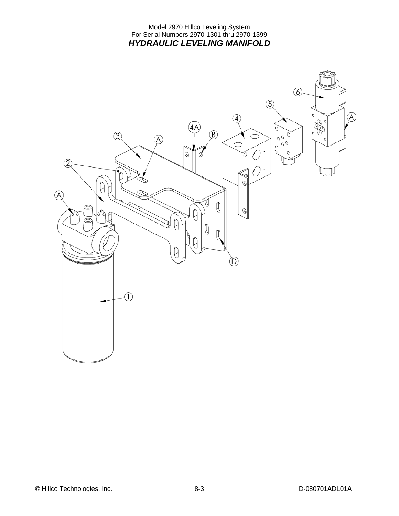#### Model 2970 Hillco Leveling System For Serial Numbers 2970-1301 thru 2970-1399 *HYDRAULIC LEVELING MANIFOLD*

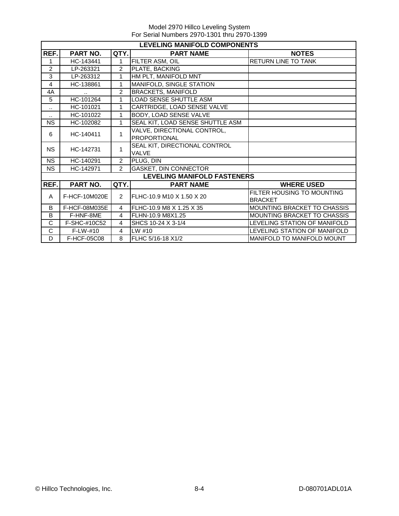|                       | <b>LEVELING MANIFOLD COMPONENTS</b> |                |                                               |                                              |  |  |  |  |  |
|-----------------------|-------------------------------------|----------------|-----------------------------------------------|----------------------------------------------|--|--|--|--|--|
| REF.                  | PART NO.                            | QTY.           | <b>PART NAME</b>                              | <b>NOTES</b>                                 |  |  |  |  |  |
| 1                     | HC-143441                           | 1              | FILTER ASM, OIL                               | <b>RETURN LINE TO TANK</b>                   |  |  |  |  |  |
| $\overline{2}$        | LP-263321                           | $\overline{2}$ | PLATE, BACKING                                |                                              |  |  |  |  |  |
| 3                     | LP-263312                           | 1              | HM PLT, MANIFOLD MNT                          |                                              |  |  |  |  |  |
| 4                     | HC-138861                           | 1              | MANIFOLD, SINGLE STATION                      |                                              |  |  |  |  |  |
| 4A                    |                                     | $\overline{2}$ | <b>BRACKETS, MANIFOLD</b>                     |                                              |  |  |  |  |  |
| 5                     | HC-101264                           | 1              | <b>LOAD SENSE SHUTTLE ASM</b>                 |                                              |  |  |  |  |  |
| $\ddot{\phantom{a}}$  | HC-101021                           | 1              | CARTRIDGE, LOAD SENSE VALVE                   |                                              |  |  |  |  |  |
| $\ddot{\phantom{a}}$  | HC-101022                           | 1              | BODY, LOAD SENSE VALVE                        |                                              |  |  |  |  |  |
| <b>NS</b>             | HC-102082                           | $\mathbf{1}$   | SEAL KIT, LOAD SENSE SHUTTLE ASM              |                                              |  |  |  |  |  |
| HC-140411<br>6        |                                     | 1              | VALVE, DIRECTIONAL CONTROL,<br>PROPORTIONAL   |                                              |  |  |  |  |  |
| <b>NS</b>             | HC-142731                           | 1              | SEAL KIT, DIRECTIONAL CONTROL<br><b>VALVE</b> |                                              |  |  |  |  |  |
| <b>NS</b>             | HC-140291                           | 2              | PLUG, DIN                                     |                                              |  |  |  |  |  |
| <b>NS</b>             | HC-142971                           | $\overline{2}$ | <b>GASKET, DIN CONNECTOR</b>                  |                                              |  |  |  |  |  |
|                       |                                     |                | <b>LEVELING MANIFOLD FASTENERS</b>            |                                              |  |  |  |  |  |
| REF.                  | PART NO.                            | QTY.           | <b>PART NAME</b>                              | <b>WHERE USED</b>                            |  |  |  |  |  |
| A                     | F-HCF-10M020E                       | $\overline{2}$ | FLHC-10.9 M10 X 1.50 X 20                     | FILTER HOUSING TO MOUNTING<br><b>BRACKET</b> |  |  |  |  |  |
| B                     | F-HCF-08M035E                       | 4              | FLHC-10.9 M8 X 1.25 X 35                      | MOUNTING BRACKET TO CHASSIS                  |  |  |  |  |  |
| B                     | F-HNF-8ME                           | 4              | FLHN-10.9 M8X1.25                             | MOUNTING BRACKET TO CHASSIS                  |  |  |  |  |  |
| C                     | F-SHC-#10C52                        | 4              | SHCS 10-24 X 3-1/4                            | LEVELING STATION OF MANIFOLD                 |  |  |  |  |  |
| $\overline{\text{c}}$ | $F-LW-#10$                          | 4              | LW #10                                        | LEVELING STATION OF MANIFOLD                 |  |  |  |  |  |
| D                     | F-HCF-05C08                         | 8              | FLHC 5/16-18 X1/2                             | MANIFOLD TO MANIFOLD MOUNT                   |  |  |  |  |  |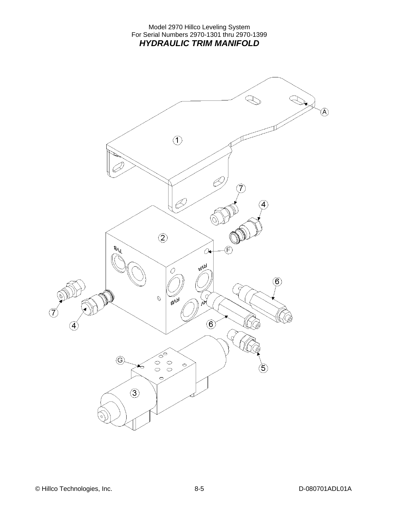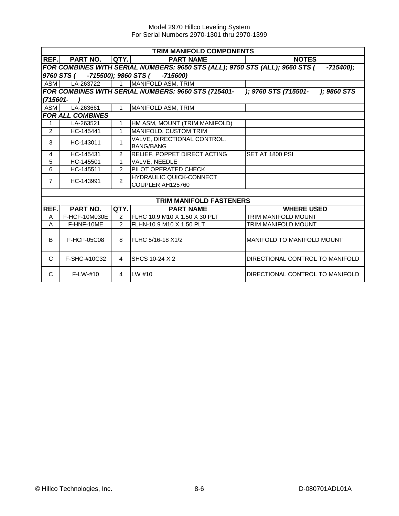|                                             | <b>TRIM MANIFOLD COMPONENTS</b>                                                              |                                                                                             |                                |                                   |  |  |  |  |  |
|---------------------------------------------|----------------------------------------------------------------------------------------------|---------------------------------------------------------------------------------------------|--------------------------------|-----------------------------------|--|--|--|--|--|
| REF.                                        | <b>PART NO.</b>                                                                              | QTY.I                                                                                       | <b>PART NAME</b>               | <b>NOTES</b>                      |  |  |  |  |  |
|                                             |                                                                                              | FOR COMBINES WITH SERIAL NUMBERS: 9650 STS (ALL); 9750 STS (ALL); 9660 STS (<br>$-715400$ ; |                                |                                   |  |  |  |  |  |
| 9760 STS (<br>-715500); 9860 STS ( -715600) |                                                                                              |                                                                                             |                                |                                   |  |  |  |  |  |
| <b>ASM</b>                                  | LA-263722                                                                                    | $\mathbf{1}$                                                                                | <b>MANIFOLD ASM, TRIM</b>      |                                   |  |  |  |  |  |
|                                             | FOR COMBINES WITH SERIAL NUMBERS: 9660 STS (715401-<br>); 9760 STS (715501-<br>$); 9860$ STS |                                                                                             |                                |                                   |  |  |  |  |  |
| (715601-                                    |                                                                                              |                                                                                             |                                |                                   |  |  |  |  |  |
| <b>ASM</b>                                  | LA-263661                                                                                    | $\mathbf{1}$                                                                                | MANIFOLD ASM, TRIM             |                                   |  |  |  |  |  |
|                                             | <b>FOR ALL COMBINES</b>                                                                      |                                                                                             |                                |                                   |  |  |  |  |  |
| 1                                           | LA-263521                                                                                    | $\mathbf{1}$                                                                                | HM ASM, MOUNT (TRIM MANIFOLD)  |                                   |  |  |  |  |  |
| 2                                           | HC-145441                                                                                    | 1                                                                                           | MANIFOLD, CUSTOM TRIM          |                                   |  |  |  |  |  |
| 3                                           | HC-143011                                                                                    | 1                                                                                           | VALVE, DIRECTIONAL CONTROL,    |                                   |  |  |  |  |  |
|                                             |                                                                                              |                                                                                             | <b>BANG/BANG</b>               |                                   |  |  |  |  |  |
| 4                                           | HC-145431                                                                                    | 2                                                                                           | RELIEF, POPPET DIRECT ACTING   | SET AT 1800 PSI                   |  |  |  |  |  |
| 5                                           | HC-145501                                                                                    | $\mathbf{1}$                                                                                | VALVE, NEEDLE                  |                                   |  |  |  |  |  |
| 6                                           | HC-145511                                                                                    | 2                                                                                           | PILOT OPERATED CHECK           |                                   |  |  |  |  |  |
| $\overline{7}$                              | HC-143991                                                                                    |                                                                                             | <b>HYDRAULIC QUICK-CONNECT</b> |                                   |  |  |  |  |  |
|                                             |                                                                                              | $\mathcal{P}$                                                                               | COUPLER AH125760               |                                   |  |  |  |  |  |
|                                             |                                                                                              |                                                                                             |                                |                                   |  |  |  |  |  |
|                                             |                                                                                              |                                                                                             | <b>TRIM MANIFOLD FASTENERS</b> |                                   |  |  |  |  |  |
| REF.                                        | <b>PART NO.</b>                                                                              | QTY.                                                                                        | <b>PART NAME</b>               | <b>WHERE USED</b>                 |  |  |  |  |  |
| A                                           | F-HCF-10M030E                                                                                | 2                                                                                           | FLHC 10.9 M10 X 1.50 X 30 PLT  | TRIM MANIFOLD MOUNT               |  |  |  |  |  |
| A                                           | F-HNF-10ME                                                                                   | $\overline{2}$                                                                              | FLHN-10.9 M10 X 1.50 PLT       | <b>TRIM MANIFOLD MOUNT</b>        |  |  |  |  |  |
| B                                           | F-HCF-05C08                                                                                  | 8                                                                                           | FLHC 5/16-18 X1/2              | <b>MANIFOLD TO MANIFOLD MOUNT</b> |  |  |  |  |  |
| C                                           | F-SHC-#10C32                                                                                 | $\overline{4}$                                                                              | SHCS 10-24 X 2                 | DIRECTIONAL CONTROL TO MANIFOLD   |  |  |  |  |  |
| C                                           | $F-LW-#10$                                                                                   | 4                                                                                           | $LW$ #10                       | DIRECTIONAL CONTROL TO MANIFOLD   |  |  |  |  |  |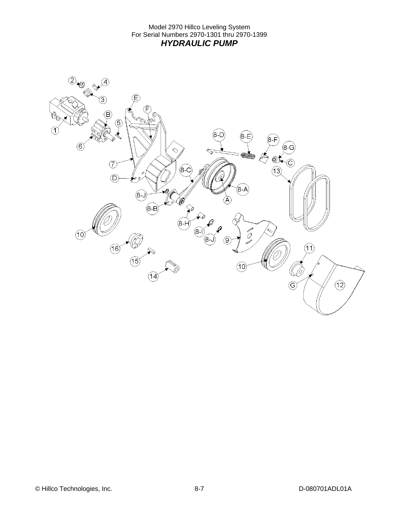Model 2970 Hillco Leveling System For Serial Numbers 2970-1301 thru 2970-1399 *HYDRAULIC PUMP* 

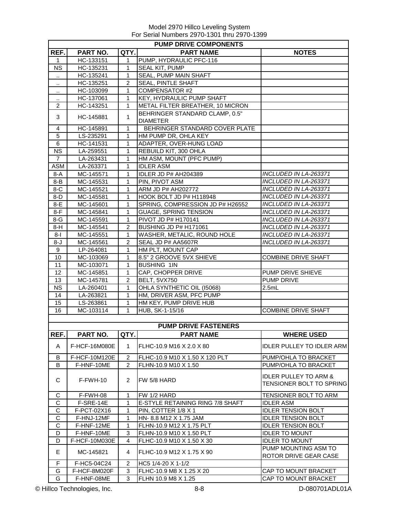|                      | <b>PUMP DRIVE COMPONENTS</b> |                |                                  |                                                              |  |  |  |  |  |
|----------------------|------------------------------|----------------|----------------------------------|--------------------------------------------------------------|--|--|--|--|--|
| REF.                 | <b>PART NO.</b>              | QTY.           | <b>PART NAME</b>                 | <b>NOTES</b>                                                 |  |  |  |  |  |
| 1                    | HC-133151                    | 1              | PUMP, HYDRAULIC PFC-116          |                                                              |  |  |  |  |  |
| <b>NS</b>            | HC-135231                    | 1              | SEAL KIT, PUMP                   |                                                              |  |  |  |  |  |
| $\ddot{\phantom{0}}$ | HC-135241                    | $\mathbf{1}$   | <b>SEAL, PUMP MAIN SHAFT</b>     |                                                              |  |  |  |  |  |
|                      | HC-135251                    | $\overline{2}$ | <b>SEAL, PINTLE SHAFT</b>        |                                                              |  |  |  |  |  |
|                      | HC-103099                    | $\mathbf{1}$   | <b>COMPENSATOR #2</b>            |                                                              |  |  |  |  |  |
| $\ddot{\phantom{a}}$ | HC-137061                    | $\mathbf{1}$   | <b>KEY, HYDRAULIC PUMP SHAFT</b> |                                                              |  |  |  |  |  |
| 2                    | HC-143251                    | $\mathbf 1$    | METAL FILTER BREATHER, 10 MICRON |                                                              |  |  |  |  |  |
|                      |                              |                | BEHRINGER STANDARD CLAMP, 0.5"   |                                                              |  |  |  |  |  |
| 3                    | HC-145881                    | $\mathbf{1}$   | <b>DIAMETER</b>                  |                                                              |  |  |  |  |  |
| $\overline{4}$       | HC-145891                    | $\mathbf{1}$   | BEHRINGER STANDARD COVER PLATE   |                                                              |  |  |  |  |  |
| 5                    | LS-235291                    | $\mathbf{1}$   | HM PUMP DR, OHLA KEY             |                                                              |  |  |  |  |  |
| 6                    | HC-141531                    | $\mathbf{1}$   | ADAPTER, OVER-HUNG LOAD          |                                                              |  |  |  |  |  |
| <b>NS</b>            | LA-259551                    | $\mathbf{1}$   | REBUILD KIT, 300 OHLA            |                                                              |  |  |  |  |  |
| $\overline{7}$       | LA-263431                    | 1              | HM ASM, MOUNT (PFC PUMP)         |                                                              |  |  |  |  |  |
| <b>ASM</b>           | LA-263371                    | 1              | <b>IDLER ASM</b>                 |                                                              |  |  |  |  |  |
| 8-A                  | MC-145571                    | 1              | IDLER JD P# AH204389             | INCLUDED IN LA-263371                                        |  |  |  |  |  |
| $8 - B$              | MC-145531                    | 1              | PIN, PIVOT ASM                   | INCLUDED IN LA-263371                                        |  |  |  |  |  |
| $8-C$                | MC-145521                    | 1              | ARM JD P# AH202772               | INCLUDED IN LA-263371                                        |  |  |  |  |  |
| $8-D$                | MC-145581                    | 1              | HOOK BOLT JD P# H118948          | INCLUDED IN LA-263371                                        |  |  |  |  |  |
| 8-E                  | MC-145601                    | $\mathbf{1}$   | SPRING, COMPRESSION JD P# H26552 | INCLUDED IN LA-263371                                        |  |  |  |  |  |
| $8-F$                | MC-145841                    | $\mathbf{1}$   | <b>GUAGE, SPRING TENSION</b>     | INCLUDED IN LA-263371                                        |  |  |  |  |  |
| 8-G                  | MC-145591                    | $\mathbf{1}$   | PIVOT JD P# H170141              | INCLUDED IN LA-263371                                        |  |  |  |  |  |
| $8-H$                | MC-145541                    | 2              | BUSHING JD P# H171061            | INCLUDED IN LA-263371                                        |  |  |  |  |  |
| 8-l                  | MC-145551                    | $\mathbf{1}$   | WASHER, METALIC, ROUND HOLE      | INCLUDED IN LA-263371                                        |  |  |  |  |  |
| 8-J                  | MC-145561                    | $\overline{2}$ | SEAL JD P# AA5607R               | INCLUDED IN LA-263371                                        |  |  |  |  |  |
| 9                    | LP-264081                    | $\mathbf{1}$   | HM PLT, MOUNT CAP                |                                                              |  |  |  |  |  |
| 10                   | MC-103069                    | 1              | 8.5" 2 GROOVE 5VX SHIEVE         | <b>COMBINE DRIVE SHAFT</b>                                   |  |  |  |  |  |
| 11                   | MC-103071                    | $\mathbf{1}$   | <b>BUSHING 1IN</b>               |                                                              |  |  |  |  |  |
| 12                   | MC-145851                    | $\mathbf{1}$   | CAP, CHOPPER DRIVE               | PUMP DRIVE SHIEVE                                            |  |  |  |  |  |
| 13                   | MC-145781                    | $\overline{2}$ | BELT, 5VX750                     | PUMP DRIVE                                                   |  |  |  |  |  |
| <b>NS</b>            | LA-260401                    | 1              | OHLA SYNTHETIC OIL (15068)       | 2.5mL                                                        |  |  |  |  |  |
| 14                   | LA-263821                    | $\mathbf 1$    | HM, DRIVER ASM, PFC PUMP         |                                                              |  |  |  |  |  |
| 15                   | LS-263861                    | 1              | HM KEY, PUMP DRIVE HUB           |                                                              |  |  |  |  |  |
| 16                   | MC-103114                    | 1              | HUB, SK-1-15/16                  | <b>COMBINE DRIVE SHAFT</b>                                   |  |  |  |  |  |
|                      |                              |                |                                  |                                                              |  |  |  |  |  |
|                      |                              |                | <b>PUMP DRIVE FASTENERS</b>      |                                                              |  |  |  |  |  |
| REF.                 | PART NO.                     | QTY.           | <b>PART NAME</b>                 | <b>WHERE USED</b>                                            |  |  |  |  |  |
| A                    | F-HCF-16M080E                | 1              | FLHC-10.9 M16 X 2.0 X 80         | <b>IDLER PULLEY TO IDLER ARM</b>                             |  |  |  |  |  |
| В                    | F-HCF-10M120E                | $\overline{2}$ | FLHC-10.9 M10 X 1.50 X 120 PLT   | PUMP/OHLA TO BRACKET                                         |  |  |  |  |  |
| B                    | F-HNF-10ME                   | 2              | FLHN-10.9 M10 X 1.50             | PUMP/OHLA TO BRACKET                                         |  |  |  |  |  |
| С                    | $F-FWH-10$                   | 2              | FW 5/8 HARD                      | <b>IDLER PULLEY TO ARM &amp;</b><br>TENSIONER BOLT TO SPRING |  |  |  |  |  |
| С                    | F-FWH-08                     | 1              | FW 1/2 HARD                      | TENSIONER BOLT TO ARM                                        |  |  |  |  |  |
| $\mathbf C$          | F-SRE-14E                    | $\mathbf{1}$   | E-STYLE RETAINING RING 7/8 SHAFT | <b>IDLER ASM</b>                                             |  |  |  |  |  |
| $\mathbf C$          | F-PCT-02X16                  | $\mathbf{1}$   | PIN, COTTER 1/8 X 1              | <b>IDLER TENSION BOLT</b>                                    |  |  |  |  |  |
| C                    | F-HNJ-12MF                   | $\mathbf{1}$   | HN- 8.8 M12 X 1.75 JAM           | <b>IDLER TENSION BOLT</b>                                    |  |  |  |  |  |
| C                    | F-HNF-12ME                   | 1              | FLHN-10.9 M12 X 1.75 PLT         | <b>IDLER TENSION BOLT</b>                                    |  |  |  |  |  |
| D                    | F-HNF-10ME                   | 3              | FLHN-10.9 M10 X 1.50 PLT         | <b>IDLER TO MOUNT</b>                                        |  |  |  |  |  |
| D                    | F-HCF-10M030E                | 4              | FLHC-10.9 M10 X 1.50 X 30        | <b>IDLER TO MOUNT</b>                                        |  |  |  |  |  |
| E                    | MC-145821                    | 4              | FLHC-10.9 M12 X 1.75 X 90        | PUMP MOUNTING ASM TO<br>ROTOR DRIVE GEAR CASE                |  |  |  |  |  |
| F                    | F-HC5-04C24                  | $\overline{2}$ | HC5 1/4-20 X 1-1/2               |                                                              |  |  |  |  |  |
| G                    | F-HCF-8M020F                 | 3              | FLHC-10.9 M8 X 1.25 X 20         | CAP TO MOUNT BRACKET                                         |  |  |  |  |  |
| G                    | F-HNF-08ME                   | 3              | FLHN 10.9 M8 X 1.25              | CAP TO MOUNT BRACKET                                         |  |  |  |  |  |

© Hillco Technologies, Inc. 69.8 B-8 D-080701ADL01A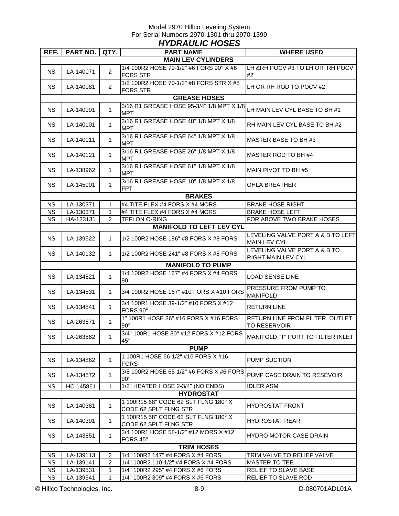| <b>HYDRAULIC HOSES</b>    |                 |                |                                                                                       |                                                           |  |  |  |  |  |
|---------------------------|-----------------|----------------|---------------------------------------------------------------------------------------|-----------------------------------------------------------|--|--|--|--|--|
| REF.                      | <b>PART NO.</b> | QTY.           | <b>PART NAME</b>                                                                      | <b>WHERE USED</b>                                         |  |  |  |  |  |
| <b>MAIN LEV CYLINDERS</b> |                 |                |                                                                                       |                                                           |  |  |  |  |  |
| <b>NS</b>                 | LA-140071       | $\overline{2}$ | 1/4 100R2 HOSE 79-1/2" #6 FORS 90° X #6<br><b>FORS STR</b>                            | LH & RH POCV #3 TO LH OR RH POCV<br>#2                    |  |  |  |  |  |
| <b>NS</b>                 | LA-140081       | $\overline{2}$ | 1/2 100R2 HOSE 70-1/2" #8 FORS STR X #8<br><b>FORS STR</b>                            | LH OR RH ROD TO POCV #2                                   |  |  |  |  |  |
|                           |                 |                | <b>GREASE HOSES</b>                                                                   |                                                           |  |  |  |  |  |
| <b>NS</b>                 | LA-140091       | $\mathbf{1}$   | 3/16 R1 GREASE HOSE 95-3/4" 1/8 MPT X 1/8 LH MAIN LEV CYL BASE TO BH #1<br><b>MPT</b> |                                                           |  |  |  |  |  |
| NS.                       | LA-140101       | $\mathbf{1}$   | 3/16 R1 GREASE HOSE 48" 1/8 MPT X 1/8<br><b>MPT</b>                                   | RH MAIN LEV CYL BASE TO BH #2                             |  |  |  |  |  |
| NS.                       | LA-140111       | $\mathbf{1}$   | 3/16 R1 GREASE HOSE 64" 1/8 MPT X 1/8<br><b>MPT</b>                                   | MASTER BASE TO BH #3                                      |  |  |  |  |  |
| NS.                       | LA-140121       | $\mathbf{1}$   | 3/16 R1 GREASE HOSE 26" 1/8 MPT X 1/8<br><b>MPT</b>                                   | MASTER ROD TO BH #4                                       |  |  |  |  |  |
| NS.                       | LA-138962       | $\mathbf{1}$   | 3/16 R1 GREASE HOSE 61" 1/8 MPT X 1/8<br><b>MPT</b>                                   | MAIN PIVOT TO BH #5                                       |  |  |  |  |  |
| NS.                       | LA-145901       | $\mathbf{1}$   | 3/16 R1 GREASE HOSE 10" 1/8 MPT X 1/8<br><b>FPT</b>                                   | OHLA BREATHER                                             |  |  |  |  |  |
|                           |                 |                | <b>BRAKES</b>                                                                         |                                                           |  |  |  |  |  |
| NS.                       | LA-130371       | 1              | #4 TITE FLEX #4 FORS X #4 MORS                                                        | <b>BRAKE HOSE RIGHT</b>                                   |  |  |  |  |  |
| <b>NS</b>                 | LA-130371       | $\mathbf{1}$   | #4 TITE FLEX #4 FORS X #4 MORS                                                        | <b>BRAKE HOSE LEFT</b>                                    |  |  |  |  |  |
| <b>NS</b>                 | HA-133131       | $\overline{2}$ | <b>TEFLON O-RING</b>                                                                  | FOR ABOVE TWO BRAKE HOSES                                 |  |  |  |  |  |
|                           |                 |                | <b>MANIFOLD TO LEFT LEV CYL</b>                                                       |                                                           |  |  |  |  |  |
| <b>NS</b>                 | LA-139522       | $\mathbf{1}$   | 1/2 100R2 HOSE 186" #8 FORS X #8 FORS                                                 | LEVELING VALVE PORT A & B TO LEFT<br><b>MAIN LEV CYL</b>  |  |  |  |  |  |
| <b>NS</b>                 | LA-140132       | $\mathbf{1}$   | 1/2 100R2 HOSE 241" #8 FORS X #8 FORS                                                 | LEVELING VALVE PORT A & B TO<br><b>RIGHT MAIN LEV CYL</b> |  |  |  |  |  |
| <b>MANIFOLD TO PUMP</b>   |                 |                |                                                                                       |                                                           |  |  |  |  |  |
| <b>NS</b>                 | LA-134821       | $\mathbf{1}$   | 1/4 100R2 HOSE 167" #4 FORS X #4 FORS<br>90                                           | <b>LOAD SENSE LINE</b>                                    |  |  |  |  |  |
| NS.                       | LA-134831       | 1              | 3/4 100R2 HOSE 167" #10 FORS X #10 FORS                                               | PRESSURE FROM PUMP TO<br><b>MANIFOLD</b>                  |  |  |  |  |  |
| NS.                       | LA-134841       | 1              | 3/4 100R1 HOSE 39-1/2" #10 FORS X #12<br>FORS 90°                                     | RETURN LINE                                               |  |  |  |  |  |
| <b>NS</b>                 | LA-263571       | $\mathbf{1}$   | 1" 100R1 HOSE 36" #16 FORS X #16 FORS<br>$90^\circ$                                   | RETURN LINE FROM FILTER OUTLET<br><b>TO RESERVOIR</b>     |  |  |  |  |  |
| <b>NS</b>                 | LA-263562       | 1              | 3/4" 100R1 HOSE 30" #12 FORS X #12 FORS<br>$45^{\circ}$                               | MANIFOLD "T" PORT TO FILTER INLET                         |  |  |  |  |  |
|                           |                 |                | <b>PUMP</b>                                                                           |                                                           |  |  |  |  |  |
| <b>NS</b>                 | LA-134862       | $\mathbf{1}$   | 1 100R1 HOSE 66-1/2" #16 FORS X #16<br><b>FORS</b>                                    | PUMP SUCTION                                              |  |  |  |  |  |
| NS.                       | LA-134872       | $\mathbf{1}$   | 3/8 100R2 HOSE 65-1/2" #6 FORS X #6 FORS<br>$90^\circ$                                | PUMP CASE DRAIN TO RESEVOIR                               |  |  |  |  |  |
| <b>NS</b>                 | HC-145861       | $\mathbf{1}$   | 1/2" HEATER HOSE 2-3/4" (NO ENDS)                                                     | <b>IDLER ASM</b>                                          |  |  |  |  |  |
|                           |                 |                | <b>HYDROSTAT</b>                                                                      |                                                           |  |  |  |  |  |
| NS.                       | LA-140381       | $\mathbf{1}$   | 1 100R15 68" CODE 62 SLT FLNG 180° X<br>CODE 62 SPLT FLNG STR                         | HYDROSTAT FRONT                                           |  |  |  |  |  |
| <b>NS</b>                 | LA-140391       | $\mathbf{1}$   | 1 100R15 58" CODE 62 SLT FLNG 180° X<br>CODE 62 SPLT FLNG STR                         | <b>HYDROSTAT REAR</b>                                     |  |  |  |  |  |
| <b>NS</b>                 | LA-143851       | $\mathbf{1}$   | 3/4 100R1 HOSE 58-1/2" #12 MORS X #12<br>FORS 45°                                     | HYDRO MOTOR CASE DRAIN                                    |  |  |  |  |  |
|                           |                 |                | <b>TRIM HOSES</b>                                                                     |                                                           |  |  |  |  |  |
| NS.                       | LA-139113       | 2              | 1/4" 100R2 147" #4 FORS X #4 FORS                                                     | TRIM VALVE TO RELIEF VALVE                                |  |  |  |  |  |
| NS.                       | LA-139141       | $\overline{c}$ | 1/4" 100R2 110-1/2" #4 FORS X #4 FORS                                                 | MASTER TO TEE                                             |  |  |  |  |  |
| <b>NS</b>                 | LA-139531       | 1              | 1/4" 100R2 295" #4 FORS X #6 FORS                                                     | RELIEF TO SLAVE BASE                                      |  |  |  |  |  |
| <b>NS</b>                 | LA-139541       | $\mathbf{1}$   | 1/4" 100R2 309" #4 FORS X #6 FORS                                                     | RELIEF TO SLAVE ROD                                       |  |  |  |  |  |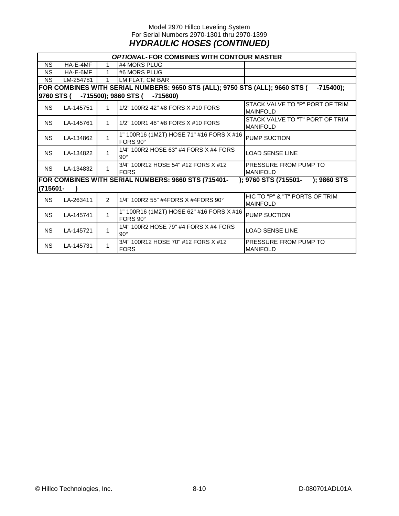#### Model 2970 Hillco Leveling System For Serial Numbers 2970-1301 thru 2970-1399 *HYDRAULIC HOSES (CONTINUED)*

|           | <b>OPTIONAL-FOR COMBINES WITH CONTOUR MASTER</b>                                            |                |                                                      |                                                    |  |  |  |  |  |  |
|-----------|---------------------------------------------------------------------------------------------|----------------|------------------------------------------------------|----------------------------------------------------|--|--|--|--|--|--|
| <b>NS</b> | HA-E-4MF                                                                                    |                | #4 MORS PLUG                                         |                                                    |  |  |  |  |  |  |
| <b>NS</b> | HA-E-6MF                                                                                    |                | #6 MORS PLUG                                         |                                                    |  |  |  |  |  |  |
| <b>NS</b> | LM-254781                                                                                   |                |                                                      |                                                    |  |  |  |  |  |  |
|           | FOR COMBINES WITH SERIAL NUMBERS: 9650 STS (ALL); 9750 STS (ALL); 9660 STS (<br>$-715400$ ; |                |                                                      |                                                    |  |  |  |  |  |  |
|           | -715500); 9860 STS (<br>9760 STS (<br>-715600)                                              |                |                                                      |                                                    |  |  |  |  |  |  |
| <b>NS</b> | LA-145751                                                                                   | 1              | 1/2" 100R2 42" #8 FORS X #10 FORS                    | STACK VALVE TO "P" PORT OF TRIM<br><b>MAINFOLD</b> |  |  |  |  |  |  |
| NS.       | LA-145761                                                                                   | $\mathbf{1}$   | 1/2" 100R1 46" #8 FORS X #10 FORS                    | STACK VALVE TO "T" PORT OF TRIM<br><b>MANIFOLD</b> |  |  |  |  |  |  |
| <b>NS</b> | LA-134862                                                                                   | 1              | 1" 100R16 (1M2T) HOSE 71" #16 FORS X #16<br>FORS 90° | <b>PUMP SUCTION</b>                                |  |  |  |  |  |  |
| <b>NS</b> | LA-134822                                                                                   | 1              | 1/4" 100R2 HOSE 63" #4 FORS X #4 FORS<br>$90^\circ$  | <b>LOAD SENSE LINE</b>                             |  |  |  |  |  |  |
| <b>NS</b> | LA-134832                                                                                   | 1              | 3/4" 100R12 HOSE 54" #12 FORS X #12<br><b>FORS</b>   | PRESSURE FROM PUMP TO<br><b>MANIFOLD</b>           |  |  |  |  |  |  |
| (715601-  |                                                                                             |                | FOR COMBINES WITH SERIAL NUMBERS: 9660 STS (715401-  | ); 9760 STS (715501- ); 9860 STS                   |  |  |  |  |  |  |
| <b>NS</b> | LA-263411                                                                                   | $\mathfrak{p}$ | 1/4" 100R2 55" #4FORS X #4FORS 90°                   | HIC TO "P" & "T" PORTS OF TRIM<br><b>MAINFOLD</b>  |  |  |  |  |  |  |
| <b>NS</b> | LA-145741                                                                                   | $\mathbf{1}$   | 1" 100R16 (1M2T) HOSE 62" #16 FORS X #16<br>FORS 90° | PUMP SUCTION                                       |  |  |  |  |  |  |
| <b>NS</b> | LA-145721                                                                                   | 1              | 1/4" 100R2 HOSE 79" #4 FORS X #4 FORS<br>$90^\circ$  | <b>LOAD SENSE LINE</b>                             |  |  |  |  |  |  |
| <b>NS</b> | LA-145731                                                                                   | 1              | 3/4" 100R12 HOSE 70" #12 FORS X #12<br><b>FORS</b>   | PRESSURE FROM PUMP TO<br><b>MANIFOLD</b>           |  |  |  |  |  |  |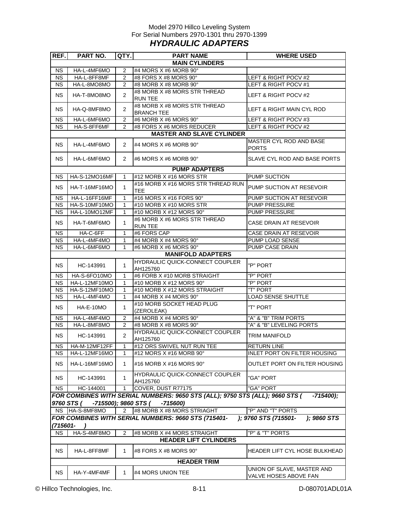#### Model 2970 Hillco Leveling System For Serial Numbers 2970-1301 thru 2970-1399 *HYDRAULIC ADAPTERS*

| REF.                   | <b>PART NO.</b>                    | QTY.           | <b>PART NAME</b>                                                             | <b>WHERE USED</b>                                   |  |  |  |  |  |
|------------------------|------------------------------------|----------------|------------------------------------------------------------------------------|-----------------------------------------------------|--|--|--|--|--|
|                        | <b>MAIN CYLINDERS</b>              |                |                                                                              |                                                     |  |  |  |  |  |
| <b>NS</b>              | HA-L-4MF6MO                        | $\overline{2}$ | #4 MORS X #6 MORB 90°                                                        |                                                     |  |  |  |  |  |
| $\overline{\text{NS}}$ | HA-L-8FF8MF                        | $\overline{2}$ | #8 FORS X #8 MORS 90°                                                        | LEFT & RIGHT POCV #2                                |  |  |  |  |  |
| <b>NS</b>              | HA-L-8MO8MO                        | 2              | #8 MORB X #8 MORB 90°                                                        | LEFT & RIGHT POCV #1                                |  |  |  |  |  |
| <b>NS</b>              | HA-T-8MO8MO                        | 2              | #8 MORB X #8 MORS STR THREAD<br><b>RUN TEE</b>                               | LEFT & RIGHT POCV #2                                |  |  |  |  |  |
| <b>NS</b>              | HA-Q-8MF8MO                        | $\overline{2}$ | #8 MORB X #8 MORS STR THREAD<br><b>BRANCH TEE</b>                            | LEFT & RIGHT MAIN CYL ROD                           |  |  |  |  |  |
| <b>NS</b>              | HA-L-6MF6MO                        | 2              | #6 MORB X #6 MORS 90°                                                        | LEFT & RIGHT POCV #3                                |  |  |  |  |  |
| <b>NS</b>              | HA-S-8FF6MF                        | $\overline{2}$ | #8 FORS X #6 MORS REDUCER                                                    | LEFT & RIGHT POCV #2                                |  |  |  |  |  |
|                        |                                    |                | <b>MASTER AND SLAVE CYLINDER</b>                                             |                                                     |  |  |  |  |  |
| <b>NS</b>              | HA-L-4MF6MO                        | $\overline{2}$ | #4 MORS $X$ #6 MORB 90 $^{\circ}$                                            | MASTER CYL ROD AND BASE<br><b>PORTS</b>             |  |  |  |  |  |
| <b>NS</b>              | HA-L-6MF6MO                        | $\overline{2}$ | #6 MORS X #6 MORB 90°                                                        | SLAVE CYL ROD AND BASE PORTS                        |  |  |  |  |  |
|                        |                                    |                | <b>PUMP ADAPTERS</b>                                                         |                                                     |  |  |  |  |  |
| ΝS                     | HA-S-12MO16MF                      | 1              | #12 MORB X #16 MORS STR                                                      | PUMP SUCTION                                        |  |  |  |  |  |
| <b>NS</b>              | HA-T-16MF16MO                      | $\mathbf{1}$   | #16 MORB X #16 MORS STR THREAD RUN<br><b>TEE</b>                             | PUMP SUCTION AT RESEVOIR                            |  |  |  |  |  |
| <b>NS</b>              | HA-L-16FF16MF                      | $\mathbf{1}$   | #16 MORS X #16 FORS 90°                                                      | PUMP SUCTION AT RESEVOIR                            |  |  |  |  |  |
| <b>NS</b>              | HA-S-10MF10MO                      | $\mathbf{1}$   | #10 MORB X #10 MORS STR                                                      | <b>PUMP PRESSURE</b>                                |  |  |  |  |  |
| <b>NS</b>              | HA-L-10MO12MF                      | $\mathbf{1}$   | #10 MORB X #12 MORS 90°                                                      | <b>PUMP PRESSURE</b>                                |  |  |  |  |  |
| <b>NS</b>              | HA-T-6MF6MO                        | $\mathbf{1}$   | #6 MORB X #6 MORS STR THREAD<br><b>RUN TEE</b>                               | CASE DRAIN AT RESEVOIR                              |  |  |  |  |  |
| <b>NS</b>              | HA-C-6FF                           | $\mathbf{1}$   | #6 FORS CAP                                                                  | CASE DRAIN AT RESEVOIR                              |  |  |  |  |  |
| <b>NS</b>              | HA-L-4MF4MO                        | $\mathbf{1}$   | #4 MORB X #4 MORS 90°                                                        | PUMP LOAD SENSE                                     |  |  |  |  |  |
| <b>NS</b>              | HA-L-6MF6MO                        | 1              | #6 MORB X #6 MORS 90°                                                        | PUMP CASE DRAIN                                     |  |  |  |  |  |
|                        |                                    |                | <b>MANIFOLD ADAPTERS</b>                                                     |                                                     |  |  |  |  |  |
| NS.                    | HC-143991                          | $\mathbf{1}$   | HYDRAULIC QUICK-CONNECT COUPLER<br>AH125760                                  | "P" PORT                                            |  |  |  |  |  |
| <b>NS</b>              | HA-S-6FO10MO                       | $\mathbf{1}$   | #6 FORB X #10 MORB STRAIGHT                                                  | "P" PORT                                            |  |  |  |  |  |
| <b>NS</b>              | HA-L-12MF10MO                      | 1              | #10 MORB X #12 MORS 90°                                                      | "P" PORT                                            |  |  |  |  |  |
| <b>NS</b>              | HA-S-12MF10MO                      | $\mathbf{1}$   | #10 MORB X #12 MORS STRAIGHT                                                 | "T" PORT                                            |  |  |  |  |  |
| <b>NS</b>              | HA-L-4MF4MO                        | $\mathbf{1}$   | #4 MORB X #4 MORS 90°                                                        | <b>LOAD SENSE SHUTTLE</b>                           |  |  |  |  |  |
| <b>NS</b>              | HA-E-10MO                          | $\mathbf{1}$   | #10 MORB SOCKET HEAD PLUG<br>(ZEROLEAK)                                      | "T" PORT                                            |  |  |  |  |  |
| <b>NS</b>              | HA-L-4MF4MO                        | $\overline{2}$ | #4 MORB X #4 MORS 90°                                                        | "A" & "B" TRIM PORTS                                |  |  |  |  |  |
| <b>NS</b>              | HA-L-8MF8MO                        | $\overline{2}$ | #8 MORB X #8 MORS 90°                                                        | "A" & "B" LEVELING PORTS                            |  |  |  |  |  |
| NS                     | HC-143991                          | $\overline{2}$ | HYDRAULIC QUICK-CONNECT COUPLER<br>AH125760                                  | <b>TRIM MANIFOLD</b>                                |  |  |  |  |  |
| ΝS                     | HA-M-12MF12FF                      | 1              | #12 ORS SWIVEL NUT RUN TEE                                                   | <b>RETURN LINE</b>                                  |  |  |  |  |  |
| <b>NS</b>              | HA-L-12MF16MO                      | 1              | #12 MORS X #16 MORB 90°                                                      | INLET PORT ON FILTER HOUSING                        |  |  |  |  |  |
| <b>NS</b>              | HA-L-16MF16MO                      | $\mathbf{1}$   | #16 MORB X #16 MORS 90°                                                      | OUTLET PORT ON FILTER HOUSING                       |  |  |  |  |  |
| NS.                    | HC-143991                          | $\mathbf{1}$   | <b>HYDRAULIC QUICK-CONNECT COUPLER</b><br>AH125760                           | "GA" PORT                                           |  |  |  |  |  |
| <b>NS</b>              | HC-144001                          | $\mathbf{1}$   | COVER, DUST R77175                                                           | "GA" PORT                                           |  |  |  |  |  |
|                        |                                    |                | FOR COMBINES WITH SERIAL NUMBERS: 9650 STS (ALL); 9750 STS (ALL); 9660 STS ( | -715400);                                           |  |  |  |  |  |
|                        | -715500); 9860 STS (<br>9760 STS ( |                | $-715600$                                                                    |                                                     |  |  |  |  |  |
| <b>NS</b>              | HA-S-8MF8MO                        | $\overline{2}$ | #8 MORB X #8 MORS STRIAGHT                                                   | "P" AND "T" PORTS                                   |  |  |  |  |  |
|                        |                                    |                | FOR COMBINES WITH SERIAL NUMBERS: 9660 STS (715401-                          | ); 9760 STS (715501-<br>); 9860 STS                 |  |  |  |  |  |
| $(715601 -$            |                                    |                |                                                                              |                                                     |  |  |  |  |  |
| <b>NS</b>              | HA-S-4MF8MO                        | $\overline{2}$ | #8 MORB X #4 MORS STRAIGHT                                                   | "P" & "T" PORTS                                     |  |  |  |  |  |
|                        |                                    |                | <b>HEADER LIFT CYLINDERS</b>                                                 |                                                     |  |  |  |  |  |
| <b>NS</b>              | HA-L-8FF8MF                        | 1              | #8 FORS X #8 MORS 90°                                                        | HEADER LIFT CYL HOSE BULKHEAD                       |  |  |  |  |  |
|                        |                                    |                | <b>HEADER TRIM</b>                                                           |                                                     |  |  |  |  |  |
| <b>NS</b>              | HA-Y-4MF4MF                        | $\mathbf{1}$   | #4 MORS UNION TEE                                                            | UNION OF SLAVE, MASTER AND<br>VALVE HOSES ABOVE FAN |  |  |  |  |  |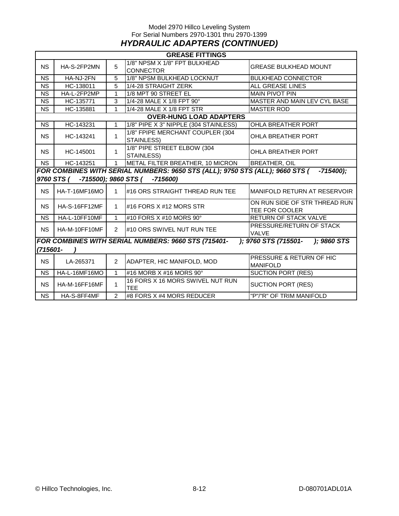#### Model 2970 Hillco Leveling System For Serial Numbers 2970-1301 thru 2970-1399 *HYDRAULIC ADAPTERS (CONTINUED)*

|                        | <b>GREASE FITTINGS</b>                                                                      |                |                                                     |                                                 |  |  |  |  |  |
|------------------------|---------------------------------------------------------------------------------------------|----------------|-----------------------------------------------------|-------------------------------------------------|--|--|--|--|--|
| <b>NS</b>              | 5<br>HA-S-2FP2MN                                                                            |                | 1/8" NPSM X 1/8" FPT BULKHEAD<br><b>CONNECTOR</b>   | <b>GREASE BULKHEAD MOUNT</b>                    |  |  |  |  |  |
| $\overline{\text{NS}}$ | HA-NJ-2FN                                                                                   | 5              | 1/8" NPSM BULKHEAD LOCKNUT                          | <b>BULKHEAD CONNECTOR</b>                       |  |  |  |  |  |
| <b>NS</b>              | HC-138011                                                                                   | 5              | 1/4-28 STRAIGHT ZERK                                | <b>ALL GREASE LINES</b>                         |  |  |  |  |  |
| <b>NS</b>              | HA-L-2FP2MP                                                                                 | 1              | 1/8 MPT 90 STREET EL                                | <b>MAIN PIVOT PIN</b>                           |  |  |  |  |  |
| <b>NS</b>              | HC-135771                                                                                   | 3              | 1/4-28 MALE X 1/8 FPT 90°                           | MASTER AND MAIN LEV CYL BASE                    |  |  |  |  |  |
| <b>NS</b>              | HC-135881                                                                                   | 1              | 1/4-28 MALE X 1/8 FPT STR                           | <b>MASTER ROD</b>                               |  |  |  |  |  |
|                        |                                                                                             |                | <b>OVER-HUNG LOAD ADAPTERS</b>                      |                                                 |  |  |  |  |  |
| <b>NS</b>              | HC-143231                                                                                   | 1              | 1/8" PIPE X 3" NIPPLE (304 STAINLESS)               | OHLA BREATHER PORT                              |  |  |  |  |  |
| NS.                    | HC-143241                                                                                   | $\mathbf{1}$   | 1/8" FPIPE MERCHANT COUPLER (304<br>STAINLESS)      | OHLA BREATHER PORT                              |  |  |  |  |  |
| <b>NS</b>              | HC-145001                                                                                   | $\mathbf{1}$   | 1/8" PIPE STREET ELBOW (304<br>STAINLESS)           | <b>OHLA BREATHER PORT</b>                       |  |  |  |  |  |
| <b>NS</b>              | HC-143251                                                                                   | $\mathbf{1}$   | METAL FILTER BREATHER, 10 MICRON                    | <b>BREATHER, OIL</b>                            |  |  |  |  |  |
|                        | FOR COMBINES WITH SERIAL NUMBERS: 9650 STS (ALL); 9750 STS (ALL); 9660 STS (<br>$-715400$ : |                |                                                     |                                                 |  |  |  |  |  |
|                        |                                                                                             |                | 9760 STS ( -715500); 9860 STS ( -715600)            |                                                 |  |  |  |  |  |
| <b>NS</b>              | <b>HA-T-16MF16MO</b>                                                                        | $\mathbf{1}$   | #16 ORS STRAIGHT THREAD RUN TEE                     | MANIFOLD RETURN AT RESERVOIR                    |  |  |  |  |  |
| <b>NS</b>              | <b>HA-S-16FF12MF</b>                                                                        | $\mathbf 1$    | #16 FORS X #12 MORS STR                             | ON RUN SIDE OF STR THREAD RUN<br>TEE FOR COOLER |  |  |  |  |  |
| <b>NS</b>              | HA-L-10FF10MF                                                                               | 1              | #10 FORS X #10 MORS 90°                             | <b>RETURN OF STACK VALVE</b>                    |  |  |  |  |  |
| <b>NS</b>              | HA-M-10FF10MF                                                                               | $\mathcal{P}$  | #10 ORS SWIVEL NUT RUN TEE                          | PRESSURE/RETURN OF STACK<br><b>VALVE</b>        |  |  |  |  |  |
|                        |                                                                                             |                | FOR COMBINES WITH SERIAL NUMBERS: 9660 STS (715401- | ); 9760 STS (715501- ); 9860 STS                |  |  |  |  |  |
| (715601-               |                                                                                             |                |                                                     |                                                 |  |  |  |  |  |
| <b>NS</b>              | LA-265371                                                                                   | $\overline{2}$ | ADAPTER, HIC MANIFOLD, MOD                          | PRESSURE & RETURN OF HIC<br><b>MANIFOLD</b>     |  |  |  |  |  |
| <b>NS</b>              | HA-L-16MF16MO                                                                               | $\mathbf{1}$   | #16 MORB X #16 MORS 90°                             | <b>SUCTION PORT (RES)</b>                       |  |  |  |  |  |
| <b>NS</b>              | <b>HA-M-16FF16MF</b>                                                                        | $\mathbf{1}$   | 16 FORS X 16 MORS SWIVEL NUT RUN<br><b>TEE</b>      | <b>SUCTION PORT (RES)</b>                       |  |  |  |  |  |
| <b>NS</b>              | $\overline{2}$<br>#8 FORS X #4 MORS REDUCER<br>HA-S-8FF4MF                                  |                |                                                     | "P"/"R" OF TRIM MANIFOLD                        |  |  |  |  |  |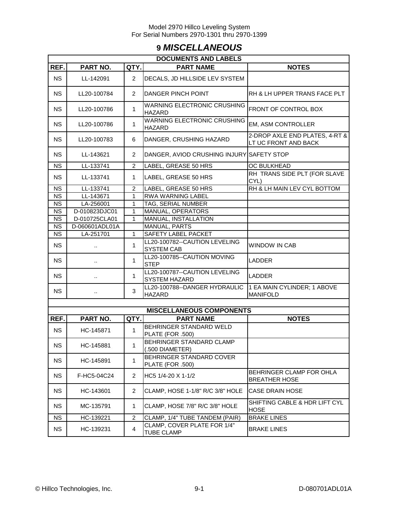# **9** *MISCELLANEOUS*

| <b>DOCUMENTS AND LABELS</b> |                      |                |                                                       |                                                        |  |  |  |  |  |
|-----------------------------|----------------------|----------------|-------------------------------------------------------|--------------------------------------------------------|--|--|--|--|--|
| REF.                        | PART NO.             | QTY.           | <b>PART NAME</b>                                      | <b>NOTES</b>                                           |  |  |  |  |  |
| <b>NS</b>                   | LL-142091            | $\overline{2}$ | DECALS, JD HILLSIDE LEV SYSTEM                        |                                                        |  |  |  |  |  |
| <b>NS</b>                   | LL20-100784          | 2              | DANGER PINCH POINT                                    | RH & LH UPPER TRANS FACE PLT                           |  |  |  |  |  |
| <b>NS</b>                   | LL20-100786          | $\mathbf{1}$   | <b>WARNING ELECTRONIC CRUSHING</b><br><b>HAZARD</b>   | <b>FRONT OF CONTROL BOX</b>                            |  |  |  |  |  |
| <b>NS</b>                   | LL20-100786          | $\mathbf{1}$   | WARNING ELECTRONIC CRUSHING<br><b>HAZARD</b>          | EM, ASM CONTROLLER                                     |  |  |  |  |  |
| <b>NS</b>                   | LL20-100783          | 6              | DANGER, CRUSHING HAZARD                               | 2-DROP AXLE END PLATES, 4-RT &<br>LT UC FRONT AND BACK |  |  |  |  |  |
| <b>NS</b>                   | LL-143621            | 2              | DANGER, AVIOD CRUSHING INJURY SAFETY STOP             |                                                        |  |  |  |  |  |
| <b>NS</b>                   | LL-133741            | $\overline{2}$ | LABEL, GREASE 50 HRS                                  | OC BULKHEAD                                            |  |  |  |  |  |
| <b>NS</b>                   | LL-133741            | 1              | LABEL, GREASE 50 HRS                                  | RH TRANS SIDE PLT (FOR SLAVE<br>CYL)                   |  |  |  |  |  |
| <b>NS</b>                   | LL-133741            | $\overline{2}$ | LABEL, GREASE 50 HRS                                  | RH & LH MAIN LEV CYL BOTTOM                            |  |  |  |  |  |
| <b>NS</b>                   | LL-143671            | $\mathbf{1}$   | <b>RWA WARNING LABEL</b>                              |                                                        |  |  |  |  |  |
| <b>NS</b>                   | LA-256001            | $\mathbf{1}$   | TAG, SERIAL NUMBER                                    |                                                        |  |  |  |  |  |
| <b>NS</b>                   | D-010823DJC01        | $\mathbf{1}$   | MANUAL, OPERATORS                                     |                                                        |  |  |  |  |  |
| <b>NS</b>                   | D-010725CLA01        | 1              | MANUAL, INSTALLATION                                  |                                                        |  |  |  |  |  |
| <b>NS</b>                   | D-060601ADL01A       |                | MANUAL, PARTS                                         |                                                        |  |  |  |  |  |
| <b>NS</b>                   | LA-251701            | $\mathbf{1}$   | SAFETY LABEL PACKET                                   |                                                        |  |  |  |  |  |
| <b>NS</b>                   |                      | 1              | LL20-100782--CAUTION LEVELING<br><b>SYSTEM CAB</b>    | WINDOW IN CAB                                          |  |  |  |  |  |
| <b>NS</b>                   |                      | 1              | LL20-100785--CAUTION MOVING<br><b>STEP</b>            | LADDER                                                 |  |  |  |  |  |
| <b>NS</b>                   | ٠.                   | $\mathbf{1}$   | LL20-100787--CAUTION LEVELING<br><b>SYSTEM HAZARD</b> | LADDER                                                 |  |  |  |  |  |
| <b>NS</b>                   | $\ddot{\phantom{a}}$ | 3              | LL20-100788--DANGER HYDRAULIC<br><b>HAZARD</b>        | 1 EA MAIN CYLINDER; 1 ABOVE<br><b>MANIFOLD</b>         |  |  |  |  |  |
|                             |                      |                |                                                       |                                                        |  |  |  |  |  |
|                             |                      |                | <b>MISCELLANEOUS COMPONENTS</b>                       |                                                        |  |  |  |  |  |
| REF.                        | PART NO.             | QTY.           | <b>PART NAME</b>                                      | <b>NOTES</b>                                           |  |  |  |  |  |
| <b>NS</b>                   | HC-145871            | $\mathbf{1}$   | BEHRINGER STANDARD WELD<br>PLATE (FOR .500)           |                                                        |  |  |  |  |  |
| NS                          | HC-145881            | $\mathbf{1}$   | BEHRINGER STANDARD CLAMP<br>(.500 DIAMETER)           |                                                        |  |  |  |  |  |
| <b>NS</b>                   | HC-145891            | 1              | BEHRINGER STANDARD COVER<br>PLATE (FOR .500)          |                                                        |  |  |  |  |  |
| <b>NS</b>                   | F-HC5-04C24          | 2              | HC5 1/4-20 X 1-1/2                                    | BEHRINGER CLAMP FOR OHLA<br><b>BREATHER HOSE</b>       |  |  |  |  |  |
| <b>NS</b>                   | HC-143601            | 2              | CLAMP, HOSE 1-1/8" R/C 3/8" HOLE                      | <b>CASE DRAIN HOSE</b>                                 |  |  |  |  |  |
| <b>NS</b>                   | MC-135791            | $\mathbf{1}$   | CLAMP, HOSE 7/8" R/C 3/8" HOLE                        | SHIFTING CABLE & HDR LIFT CYL<br><b>HOSE</b>           |  |  |  |  |  |
| <b>NS</b>                   | HC-139221            | $\overline{c}$ | CLAMP, 1/4" TUBE TANDEM (PAIR)                        | <b>BRAKE LINES</b>                                     |  |  |  |  |  |
| <b>NS</b>                   | HC-139231            | $\overline{4}$ | CLAMP, COVER PLATE FOR 1/4"<br><b>TUBE CLAMP</b>      | <b>BRAKE LINES</b>                                     |  |  |  |  |  |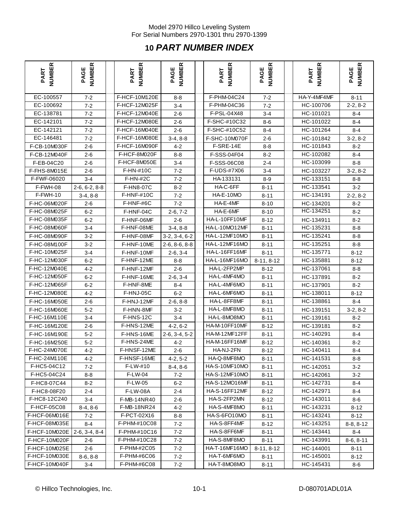# **10** *PART NUMBER INDEX*

| <b>NUMBER</b><br>PART | <b>NUMBER</b><br>PAGE | <b>NUMBER</b><br>PART | <b>NUMBER</b><br>PAGE | <b>NUMBER</b><br>PART | <b>NUMBER</b><br>PAGE | <b>NUMBER</b><br>PART | <b>NUMBER</b><br>PAGE |
|-----------------------|-----------------------|-----------------------|-----------------------|-----------------------|-----------------------|-----------------------|-----------------------|
| EC-100557             | $7 - 2$               | F-HCF-10M120E         | 8-8                   | F-PHM-04C24           | 7-2                   | HA-Y-4MF4MF           | $8 - 11$              |
| EC-100692             | $7 - 2$               | F-HCF-12M025F         | $3 - 4$               | F-PHM-04C36           | $7 - 2$               | HC-100706             | $2-2, 8-2$            |
| EC-138781             | $7 - 2$               | F-HCF-12M040E         | $2 - 6$               | F-PSL-04X48           | $3 - 4$               | HC-101021             | 8-4                   |
| EC-142101             | $7 - 2$               | F-HCF-12M080E         | $2 - 6$               | F-SHC-#10C32          | 8-6                   | HC-101022             | 8-4                   |
| EC-142121             | $7 - 2$               | F-HCF-16M040E         | $2 - 6$               | F-SHC-#10C52          | 8-4                   | HC-101264             | $8 - 4$               |
| EC-146481             | $7 - 2$               | F-HCF-16M080E         | $3-4, 8-8$            | F-SHC-10M070F         | $2 - 6$               | HC-101842             | $3-2, 8-2$            |
| F-CB-10M030F          | $2 - 6$               | F-HCF-16M090F         | $4 - 2$               | F-SRE-14E             | 8-8                   | HC-101843             | $8 - 2$               |
| F-CB-12M040F          | $2 - 6$               | F-HCF-8M020F          | 8-8                   | F-SSS-04F04           | $8-2$                 | HC-102082             | $8 - 4$               |
| F-EB-04C20            | $2 - 6$               | F-HCF-8M050E          | $3 - 4$               | F-SSS-06C08           | $2 - 4$               | HC-103099             | $8 - 8$               |
| F-FHS-8M015E          | $2 - 6$               | F-HN-#10C             | $7 - 2$               | F-UDS-#7X06           | $3 - 4$               | HC-103227             | $3-2, 8-2$            |
| F-FWF-06020           | $3 - 4$               | $F-HN-#2C$            | $7 - 2$               | HA-133131             | $8-9$                 | HC-133151             | $8 - 8$               |
| F-FWH-08              | $2-6, 6-2, 8-8$       | F-HN8-07C             | $8 - 2$               | HA-C-6FF              | $8 - 11$              | HC-133541             | $3 - 2$               |
| F-FWH-10              | $3-4, 8-8$            | <b>F-HNF-#10C</b>     | $7 - 2$               | HA-E-10MO             | $8 - 11$              | HC-134191             | $2-2, 8-2$            |
| F-HC-06M020F          | $2 - 6$               | F-HNF-#6C             | $7 - 2$               | HA-E-4MF              | $8 - 10$              | HC-134201             | $8 - 2$               |
| F-HC-08M025F          | $6 - 2$               | F-HNF-04C             | $2-6, 7-2$            | HA-E-6MF              | $8 - 10$              | HC-134251             | $8 - 2$               |
| F-HC-08M035F          | 6-2                   | F-HNF-06MF            | $2 - 6$               | HA-L-10FF10MF         | $8 - 12$              | HC-134911             | 8-2                   |
| F-HC-08M060F          | $3 - 4$               | F-HNF-08ME            | $3-4, 8-8$            | HA-L-10MO12MF         | $8 - 11$              | HC-135231             | $8 - 8$               |
| F-HC-08M090F          | $3 - 2$               | F-HNF-08MF            | $3-2, 3-4, 6-2$       | HA-L-12MF10MO         | $8 - 11$              | HC-135241             | $8 - 8$               |
| F-HC-08M100F          | $3 - 2$               | F-HNF-10ME            | $2-6, 8-6, 8-8$       | HA-L-12MF16MO         | $8 - 11$              | HC-135251             | $8 - 8$               |
| F-HC-10M025F          | $3 - 4$               | F-HNF-10MF            | $2-6, 3-4$            | HA-L-16FF16MF         | $8 - 11$              | HC-135771             | $8 - 12$              |
| F-HC-12M030F          | 6-2                   | F-HNF-12ME            | 8-8                   | HA-L-16MF16MO         | $8-11, 8-12$          | HC-135881             | 8-12                  |
| F-HC-12M040E          | $4 - 2$               | F-HNF-12MF            | $2 - 6$               | HA-L-2FP2MP           | $8 - 12$              | HC-137061             | 8-8                   |
| F-HC-12M050F          | $6 - 2$               | F-HNF-16ME            | $2-6, 3-4$            | HA-L-4MF4MO           | $8 - 11$              | HC-137891             | $8 - 2$               |
| F-HC-12M065F          | $6 - 2$               | F-HNF-8ME             | 8-4                   | HA-L-4MF6MO           | $8 - 11$              | HC-137901             | $8 - 2$               |
| F-HC-12M080E          | $4 - 2$               | F-HNJ-05C             | $6 - 2$               | HA-L-6MF6MO           | $8 - 11$              | HC-138011             | 8-12                  |
| F-HC-16M050E          | $2 - 6$               | F-HNJ-12MF            | $2-6, 8-8$            | HA-L-8FF8MF           | $8 - 11$              | HC-138861             | $8 - 4$               |
| F-HC-16M060E          | $5 - 2$               | F-HNN-8MF             | $3 - 2$               | HA-L-8MF8MO           | $8 - 11$              | HC-139151             | $3-2, 8-2$            |
| F-HC-16M110E          | $3 - 4$               | F-HNS-12C             | $3 - 4$               | HA-L-8MO8MO           | 8-11                  | HC-139161             | $8 - 2$               |
| F-HC-16M120E          | $2 - 6$               | F-HNS-12ME            | $4-2, 6-2$            | HA-M-10FF10MF         | $8 - 12$              | HC-139181             | $8 - 2$               |
| F-HC-16M190E          | $5 - 2$               | F-HNS-16ME            | $2-6, 3-4, 5-2$       | HA-M-12MF12FF         | 8-11                  | HC-140291             | 8-4                   |
| F-HC-16M250E          | $5-2$                 | F-HNS-24ME            | $4 - 2$               | HA-M-16FF16MF         | $8 - 12$              | HC-140361             | $8 - 2$               |
| F-HC-24M070E          | $4 - 2$               | F-HNSF-12ME           | $2 - 6$               | HA-NJ-2FN             | $8 - 12$              | HC-140411             | $8 - 4$               |
| F-HC-24M110E          | 4-2                   | F-HNSF-16ME           | $4-2, 5-2$            | HA-Q-8MF8MO           | $8 - 11$              | HC-141531             | 8-8                   |
| F-HC5-04C12           | 7-2                   | F-LW-#10              | $8-4, 8-6$            | HA-S-10MF10MO         | $8 - 11$              | HC-142051             | $3 - 2$               |
| F-HC5-04C24           | 8-8                   | F-LW-04               | $7 - 2$               | HA-S-12MF10MO         | $8 - 11$              | HC-142061             | $3 - 2$               |
| F-HC8-07C44           | $8-2$                 | F-LW-05               | $6 - 2$               | <b>HA-S-12MO16MF</b>  | $8 - 11$              | HC-142731             | $8 - 4$               |
| F-HC8-08F20           | $2 - 4$               | F-LW-08A              | $2 - 4$               | HA-S-16FF12MF         | $8 - 12$              | HC-142971             | $8 - 4$               |
| F-HC8-12C240          | $3 - 4$               | F-MB-14NR40           | $2 - 6$               | HA-S-2FP2MN           | $8 - 12$              | HC-143011             | $8-6$                 |
| F-HCF-05C08           | $8-4, 8-6$            | F-MB-18NR24           | $4 - 2$               | HA-S-4MF8MO           | $8 - 11$              | HC-143231             | 8-12                  |
| F-HCF-06M016E         | $7 - 2$               | F-PCT-02X16           | $8-8$                 | HA-S-6FO10MO          | $8 - 11$              | HC-143241             | $8 - 12$              |
| F-HCF-08M035E         | $8 - 4$               | F-PHM-#10C08          | $7 - 2$               | HA-S-8FF4MF           | $8 - 12$              | HC-143251             | $8-8, 8-12$           |
| F-HCF-10M020E         | $2-6, 3-4, 8-4$       | F-PHM-#10C16          | $7 - 2$               | HA-S-8FF6MF           | $8 - 11$              | HC-143441             | $8 - 4$               |
| F-HCF-10M020F         | $2 - 6$               | F-PHM-#10C28          | $7 - 2$               | HA-S-8MF8MO           | $8 - 11$              | HC-143991             | $8-6, 8-11$           |
| F-HCF-10M025E         | $2 - 6$               | F-PHM-#2C05           | $7 - 2$               | <b>HA-T-16MF16MO</b>  | $8-11, 8-12$          | HC-144001             | $8 - 11$              |
| F-HCF-10M030E         | $8-6, 8-8$            | F-PHM-#6C06           | $7 - 2$               | HA-T-6MF6MO           | $8 - 11$              | HC-145001             | $8 - 12$              |
| F-HCF-10M040F         | 3-4                   | F-PHM-#6C08           | $7 - 2$               | HA-T-8MO8MO           | $8 - 11$              | HC-145431             | 8-6                   |